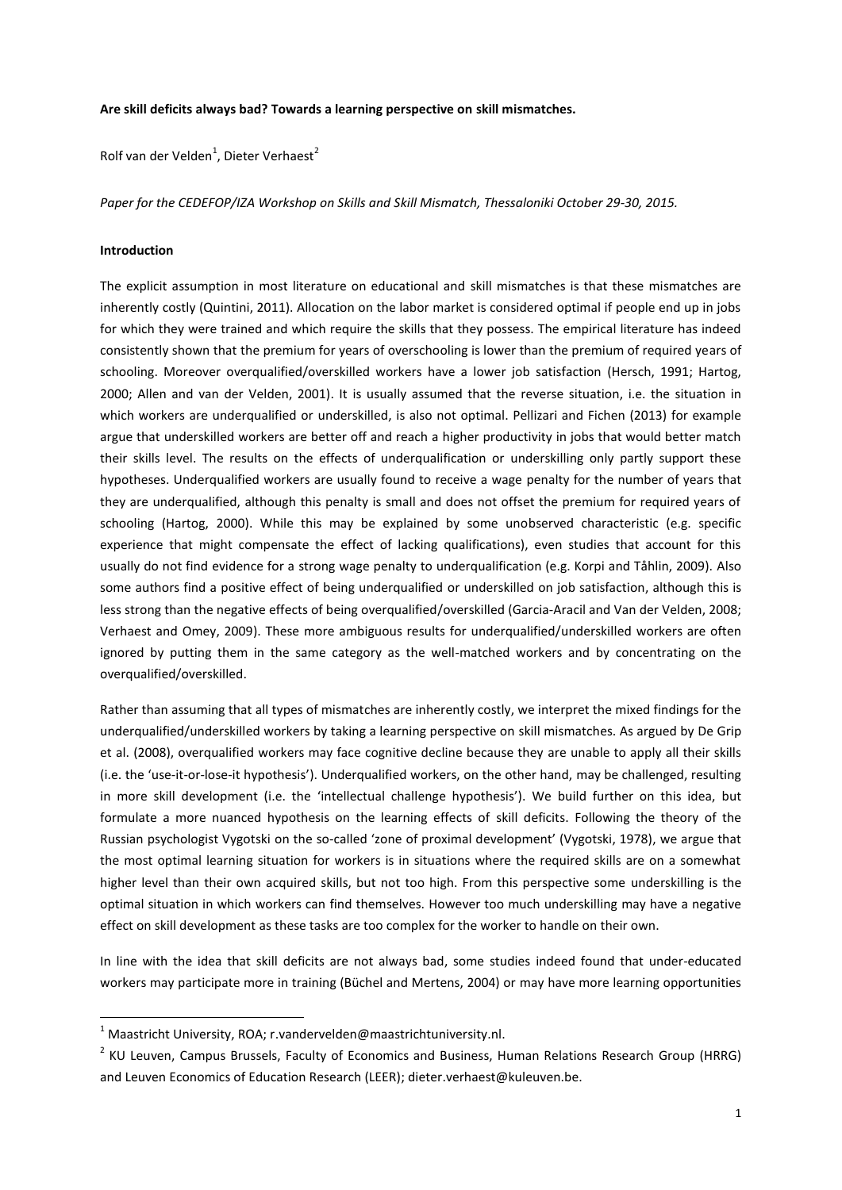## **Are skill deficits always bad? Towards a learning perspective on skill mismatches.**

Rolf van der Velden<sup>1</sup>, Dieter Verhaest<sup>2</sup>

*Paper for the CEDEFOP/IZA Workshop on Skills and Skill Mismatch, Thessaloniki October 29-30, 2015.*

### **Introduction**

1

The explicit assumption in most literature on educational and skill mismatches is that these mismatches are inherently costly (Quintini, 2011). Allocation on the labor market is considered optimal if people end up in jobs for which they were trained and which require the skills that they possess. The empirical literature has indeed consistently shown that the premium for years of overschooling is lower than the premium of required years of schooling. Moreover overqualified/overskilled workers have a lower job satisfaction (Hersch, 1991; Hartog, 2000; Allen and van der Velden, 2001). It is usually assumed that the reverse situation, i.e. the situation in which workers are underqualified or underskilled, is also not optimal. Pellizari and Fichen (2013) for example argue that underskilled workers are better off and reach a higher productivity in jobs that would better match their skills level. The results on the effects of underqualification or underskilling only partly support these hypotheses. Underqualified workers are usually found to receive a wage penalty for the number of years that they are underqualified, although this penalty is small and does not offset the premium for required years of schooling (Hartog, 2000). While this may be explained by some unobserved characteristic (e.g. specific experience that might compensate the effect of lacking qualifications), even studies that account for this usually do not find evidence for a strong wage penalty to underqualification (e.g. Korpi and Tåhlin, 2009). Also some authors find a positive effect of being underqualified or underskilled on job satisfaction, although this is less strong than the negative effects of being overqualified/overskilled (Garcia-Aracil and Van der Velden, 2008; Verhaest and Omey, 2009). These more ambiguous results for underqualified/underskilled workers are often ignored by putting them in the same category as the well-matched workers and by concentrating on the overqualified/overskilled.

Rather than assuming that all types of mismatches are inherently costly, we interpret the mixed findings for the underqualified/underskilled workers by taking a learning perspective on skill mismatches. As argued by De Grip et al. (2008), overqualified workers may face cognitive decline because they are unable to apply all their skills (i.e. the 'use-it-or-lose-it hypothesis'). Underqualified workers, on the other hand, may be challenged, resulting in more skill development (i.e. the 'intellectual challenge hypothesis'). We build further on this idea, but formulate a more nuanced hypothesis on the learning effects of skill deficits. Following the theory of the Russian psychologist Vygotski on the so-called 'zone of proximal development' (Vygotski, 1978), we argue that the most optimal learning situation for workers is in situations where the required skills are on a somewhat higher level than their own acquired skills, but not too high. From this perspective some underskilling is the optimal situation in which workers can find themselves. However too much underskilling may have a negative effect on skill development as these tasks are too complex for the worker to handle on their own.

In line with the idea that skill deficits are not always bad, some studies indeed found that under-educated workers may participate more in training (Büchel and Mertens, 2004) or may have more learning opportunities

 $1$  Maastricht University, ROA; r.vandervelden@maastrichtuniversity.nl.

<sup>&</sup>lt;sup>2</sup> KU Leuven, Campus Brussels, Faculty of Economics and Business, Human Relations Research Group (HRRG) and Leuven Economics of Education Research (LEER); dieter.verhaest@kuleuven.be.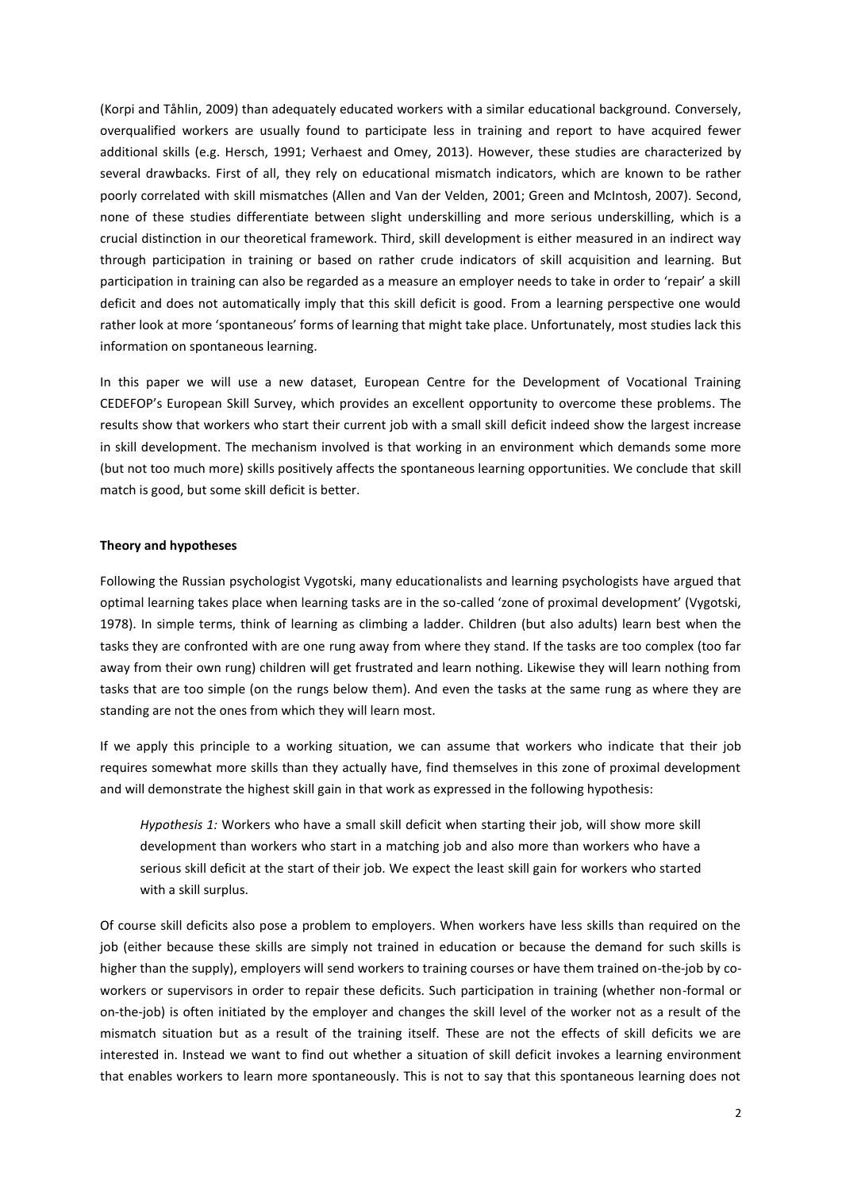(Korpi and Tåhlin, 2009) than adequately educated workers with a similar educational background. Conversely, overqualified workers are usually found to participate less in training and report to have acquired fewer additional skills (e.g. Hersch, 1991; Verhaest and Omey, 2013). However, these studies are characterized by several drawbacks. First of all, they rely on educational mismatch indicators, which are known to be rather poorly correlated with skill mismatches (Allen and Van der Velden, 2001; Green and McIntosh, 2007). Second, none of these studies differentiate between slight underskilling and more serious underskilling, which is a crucial distinction in our theoretical framework. Third, skill development is either measured in an indirect way through participation in training or based on rather crude indicators of skill acquisition and learning. But participation in training can also be regarded as a measure an employer needs to take in order to 'repair' a skill deficit and does not automatically imply that this skill deficit is good. From a learning perspective one would rather look at more 'spontaneous' forms of learning that might take place. Unfortunately, most studies lack this information on spontaneous learning.

In this paper we will use a new dataset, European Centre for the Development of Vocational Training CEDEFOP's European Skill Survey, which provides an excellent opportunity to overcome these problems. The results show that workers who start their current job with a small skill deficit indeed show the largest increase in skill development. The mechanism involved is that working in an environment which demands some more (but not too much more) skills positively affects the spontaneous learning opportunities. We conclude that skill match is good, but some skill deficit is better.

# **Theory and hypotheses**

Following the Russian psychologist Vygotski, many educationalists and learning psychologists have argued that optimal learning takes place when learning tasks are in the so-called 'zone of proximal development' (Vygotski, 1978). In simple terms, think of learning as climbing a ladder. Children (but also adults) learn best when the tasks they are confronted with are one rung away from where they stand. If the tasks are too complex (too far away from their own rung) children will get frustrated and learn nothing. Likewise they will learn nothing from tasks that are too simple (on the rungs below them). And even the tasks at the same rung as where they are standing are not the ones from which they will learn most.

If we apply this principle to a working situation, we can assume that workers who indicate that their job requires somewhat more skills than they actually have, find themselves in this zone of proximal development and will demonstrate the highest skill gain in that work as expressed in the following hypothesis:

*Hypothesis 1:* Workers who have a small skill deficit when starting their job, will show more skill development than workers who start in a matching job and also more than workers who have a serious skill deficit at the start of their job. We expect the least skill gain for workers who started with a skill surplus.

Of course skill deficits also pose a problem to employers. When workers have less skills than required on the job (either because these skills are simply not trained in education or because the demand for such skills is higher than the supply), employers will send workers to training courses or have them trained on-the-job by coworkers or supervisors in order to repair these deficits. Such participation in training (whether non-formal or on-the-job) is often initiated by the employer and changes the skill level of the worker not as a result of the mismatch situation but as a result of the training itself. These are not the effects of skill deficits we are interested in. Instead we want to find out whether a situation of skill deficit invokes a learning environment that enables workers to learn more spontaneously. This is not to say that this spontaneous learning does not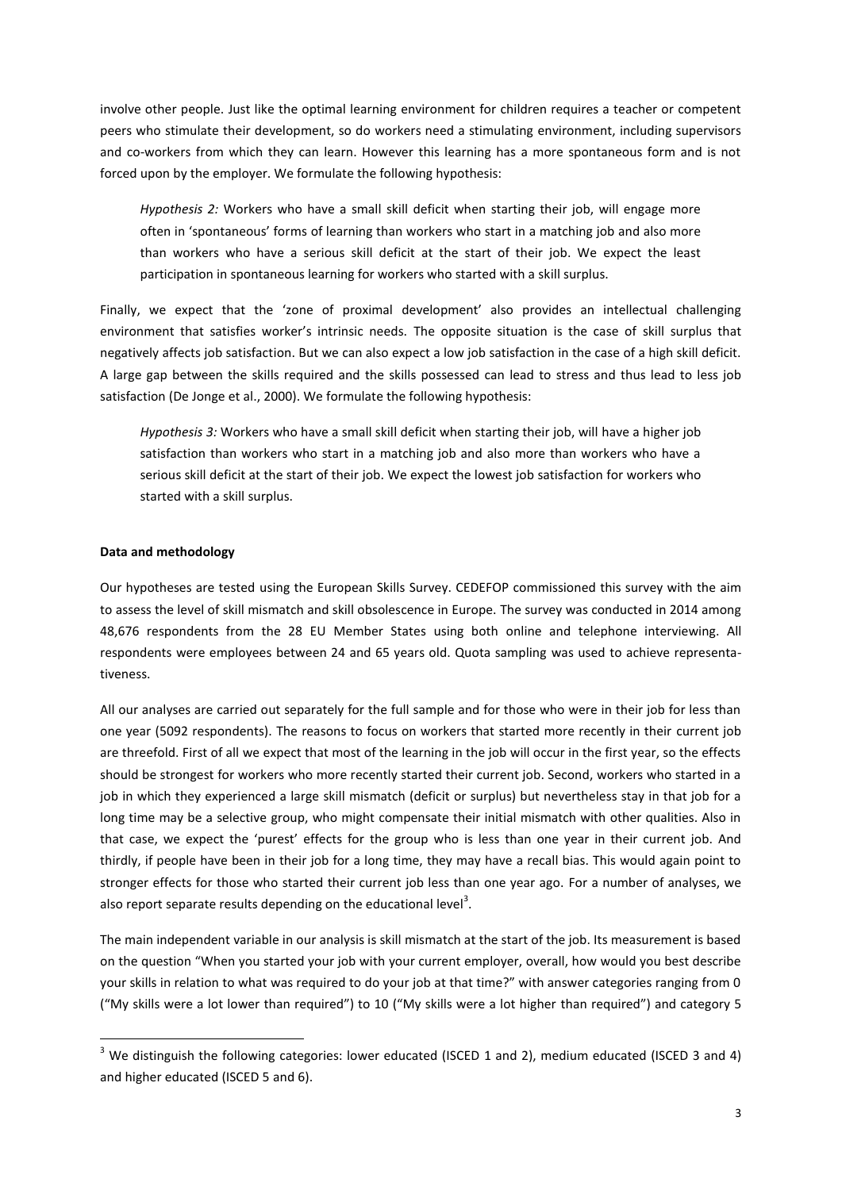involve other people. Just like the optimal learning environment for children requires a teacher or competent peers who stimulate their development, so do workers need a stimulating environment, including supervisors and co-workers from which they can learn. However this learning has a more spontaneous form and is not forced upon by the employer. We formulate the following hypothesis:

*Hypothesis 2:* Workers who have a small skill deficit when starting their job, will engage more often in 'spontaneous' forms of learning than workers who start in a matching job and also more than workers who have a serious skill deficit at the start of their job. We expect the least participation in spontaneous learning for workers who started with a skill surplus.

Finally, we expect that the 'zone of proximal development' also provides an intellectual challenging environment that satisfies worker's intrinsic needs. The opposite situation is the case of skill surplus that negatively affects job satisfaction. But we can also expect a low job satisfaction in the case of a high skill deficit. A large gap between the skills required and the skills possessed can lead to stress and thus lead to less job satisfaction (De Jonge et al., 2000). We formulate the following hypothesis:

*Hypothesis 3:* Workers who have a small skill deficit when starting their job, will have a higher job satisfaction than workers who start in a matching job and also more than workers who have a serious skill deficit at the start of their job. We expect the lowest job satisfaction for workers who started with a skill surplus.

# **Data and methodology**

**.** 

Our hypotheses are tested using the European Skills Survey. CEDEFOP commissioned this survey with the aim to assess the level of skill mismatch and skill obsolescence in Europe. The survey was conducted in 2014 among 48,676 respondents from the 28 EU Member States using both online and telephone interviewing. All respondents were employees between 24 and 65 years old. Quota sampling was used to achieve representativeness.

All our analyses are carried out separately for the full sample and for those who were in their job for less than one year (5092 respondents). The reasons to focus on workers that started more recently in their current job are threefold. First of all we expect that most of the learning in the job will occur in the first year, so the effects should be strongest for workers who more recently started their current job. Second, workers who started in a job in which they experienced a large skill mismatch (deficit or surplus) but nevertheless stay in that job for a long time may be a selective group, who might compensate their initial mismatch with other qualities. Also in that case, we expect the 'purest' effects for the group who is less than one year in their current job. And thirdly, if people have been in their job for a long time, they may have a recall bias. This would again point to stronger effects for those who started their current job less than one year ago. For a number of analyses, we also report separate results depending on the educational level<sup>3</sup>.

The main independent variable in our analysis is skill mismatch at the start of the job. Its measurement is based on the question "When you started your job with your current employer, overall, how would you best describe your skills in relation to what was required to do your job at that time?" with answer categories ranging from 0 ("My skills were a lot lower than required") to 10 ("My skills were a lot higher than required") and category 5

<sup>&</sup>lt;sup>3</sup> We distinguish the following categories: lower educated (ISCED 1 and 2), medium educated (ISCED 3 and 4) and higher educated (ISCED 5 and 6).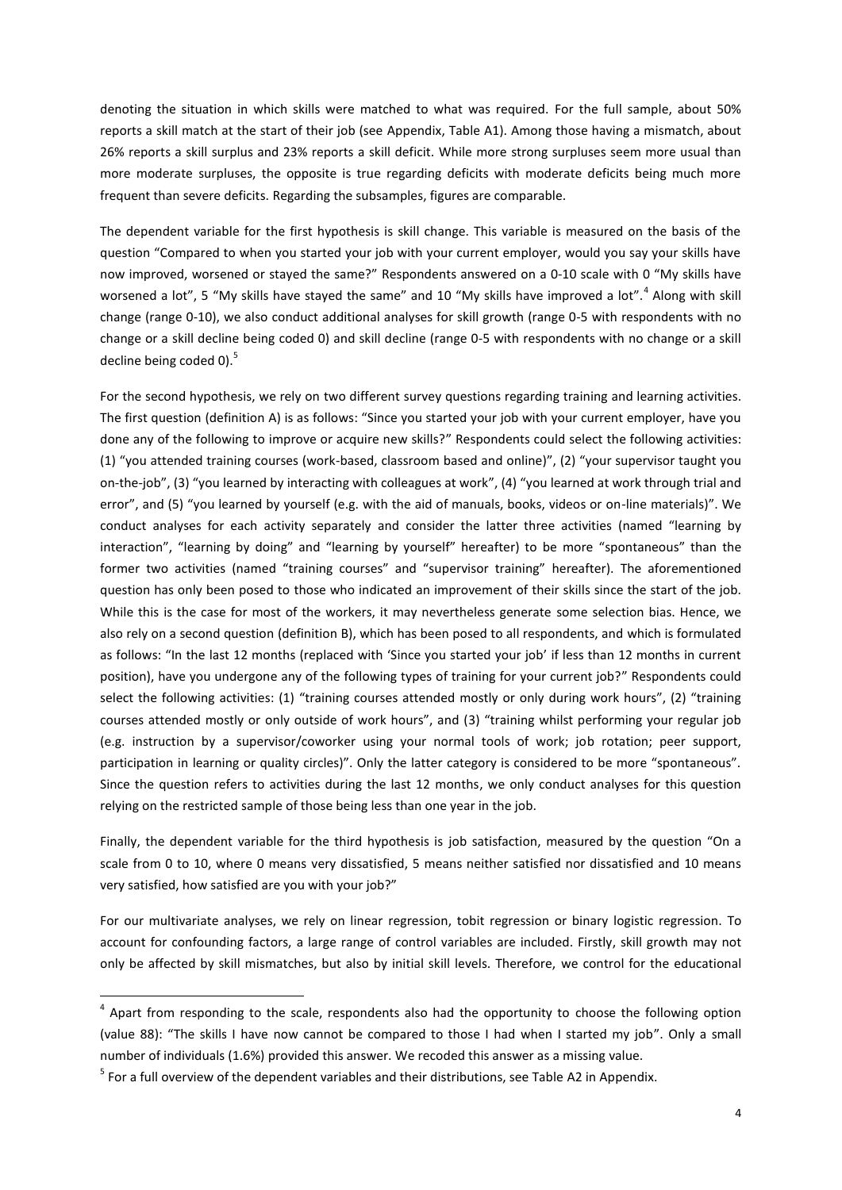denoting the situation in which skills were matched to what was required. For the full sample, about 50% reports a skill match at the start of their job (see Appendix, Table A1). Among those having a mismatch, about 26% reports a skill surplus and 23% reports a skill deficit. While more strong surpluses seem more usual than more moderate surpluses, the opposite is true regarding deficits with moderate deficits being much more frequent than severe deficits. Regarding the subsamples, figures are comparable.

The dependent variable for the first hypothesis is skill change. This variable is measured on the basis of the question "Compared to when you started your job with your current employer, would you say your skills have now improved, worsened or stayed the same?" Respondents answered on a 0-10 scale with 0 "My skills have worsened a lot", 5 "My skills have stayed the same" and 10 "My skills have improved a lot".<sup>4</sup> Along with skill change (range 0-10), we also conduct additional analyses for skill growth (range 0-5 with respondents with no change or a skill decline being coded 0) and skill decline (range 0-5 with respondents with no change or a skill decline being coded 0).<sup>5</sup>

For the second hypothesis, we rely on two different survey questions regarding training and learning activities. The first question (definition A) is as follows: "Since you started your job with your current employer, have you done any of the following to improve or acquire new skills?" Respondents could select the following activities: (1) "you attended training courses (work-based, classroom based and online)", (2) "your supervisor taught you on-the-job", (3) "you learned by interacting with colleagues at work", (4) "you learned at work through trial and error", and (5) "you learned by yourself (e.g. with the aid of manuals, books, videos or on-line materials)". We conduct analyses for each activity separately and consider the latter three activities (named "learning by interaction", "learning by doing" and "learning by yourself" hereafter) to be more "spontaneous" than the former two activities (named "training courses" and "supervisor training" hereafter). The aforementioned question has only been posed to those who indicated an improvement of their skills since the start of the job. While this is the case for most of the workers, it may nevertheless generate some selection bias. Hence, we also rely on a second question (definition B), which has been posed to all respondents, and which is formulated as follows: "In the last 12 months (replaced with 'Since you started your job' if less than 12 months in current position), have you undergone any of the following types of training for your current job?" Respondents could select the following activities: (1) "training courses attended mostly or only during work hours", (2) "training courses attended mostly or only outside of work hours", and (3) "training whilst performing your regular job (e.g. instruction by a supervisor/coworker using your normal tools of work; job rotation; peer support, participation in learning or quality circles)". Only the latter category is considered to be more "spontaneous". Since the question refers to activities during the last 12 months, we only conduct analyses for this question relying on the restricted sample of those being less than one year in the job.

Finally, the dependent variable for the third hypothesis is job satisfaction, measured by the question "On a scale from 0 to 10, where 0 means very dissatisfied, 5 means neither satisfied nor dissatisfied and 10 means very satisfied, how satisfied are you with your job?"

For our multivariate analyses, we rely on linear regression, tobit regression or binary logistic regression. To account for confounding factors, a large range of control variables are included. Firstly, skill growth may not only be affected by skill mismatches, but also by initial skill levels. Therefore, we control for the educational

**.** 

<sup>&</sup>lt;sup>4</sup> Apart from responding to the scale, respondents also had the opportunity to choose the following option (value 88): "The skills I have now cannot be compared to those I had when I started my job". Only a small number of individuals (1.6%) provided this answer. We recoded this answer as a missing value.

 $<sup>5</sup>$  For a full overview of the dependent variables and their distributions, see Table A2 in Appendix.</sup>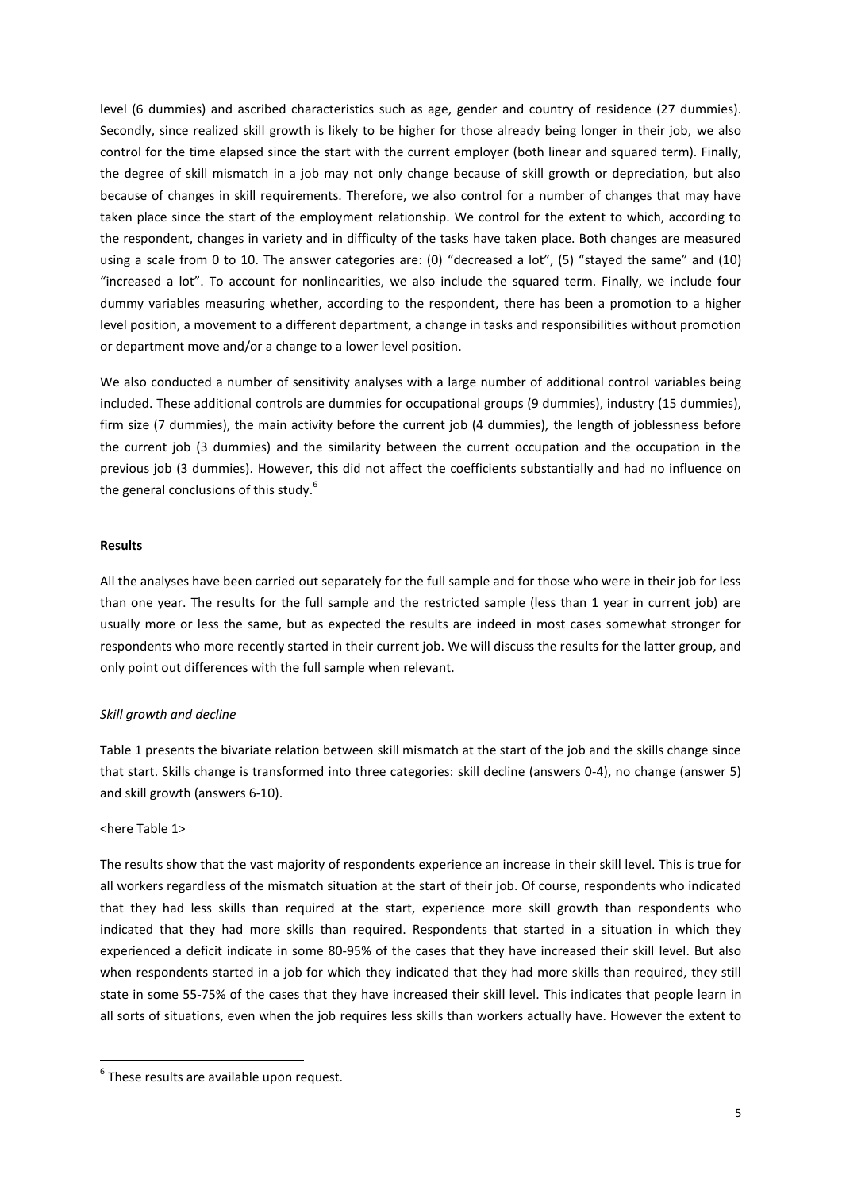level (6 dummies) and ascribed characteristics such as age, gender and country of residence (27 dummies). Secondly, since realized skill growth is likely to be higher for those already being longer in their job, we also control for the time elapsed since the start with the current employer (both linear and squared term). Finally, the degree of skill mismatch in a job may not only change because of skill growth or depreciation, but also because of changes in skill requirements. Therefore, we also control for a number of changes that may have taken place since the start of the employment relationship. We control for the extent to which, according to the respondent, changes in variety and in difficulty of the tasks have taken place. Both changes are measured using a scale from 0 to 10. The answer categories are: (0) "decreased a lot", (5) "stayed the same" and (10) "increased a lot". To account for nonlinearities, we also include the squared term. Finally, we include four dummy variables measuring whether, according to the respondent, there has been a promotion to a higher level position, a movement to a different department, a change in tasks and responsibilities without promotion or department move and/or a change to a lower level position.

We also conducted a number of sensitivity analyses with a large number of additional control variables being included. These additional controls are dummies for occupational groups (9 dummies), industry (15 dummies), firm size (7 dummies), the main activity before the current job (4 dummies), the length of joblessness before the current job (3 dummies) and the similarity between the current occupation and the occupation in the previous job (3 dummies). However, this did not affect the coefficients substantially and had no influence on the general conclusions of this study.<sup>6</sup>

# **Results**

All the analyses have been carried out separately for the full sample and for those who were in their job for less than one year. The results for the full sample and the restricted sample (less than 1 year in current job) are usually more or less the same, but as expected the results are indeed in most cases somewhat stronger for respondents who more recently started in their current job. We will discuss the results for the latter group, and only point out differences with the full sample when relevant.

# *Skill growth and decline*

Table 1 presents the bivariate relation between skill mismatch at the start of the job and the skills change since that start. Skills change is transformed into three categories: skill decline (answers 0-4), no change (answer 5) and skill growth (answers 6-10).

# <here Table 1>

**.** 

The results show that the vast majority of respondents experience an increase in their skill level. This is true for all workers regardless of the mismatch situation at the start of their job. Of course, respondents who indicated that they had less skills than required at the start, experience more skill growth than respondents who indicated that they had more skills than required. Respondents that started in a situation in which they experienced a deficit indicate in some 80-95% of the cases that they have increased their skill level. But also when respondents started in a job for which they indicated that they had more skills than required, they still state in some 55-75% of the cases that they have increased their skill level. This indicates that people learn in all sorts of situations, even when the job requires less skills than workers actually have. However the extent to

 $<sup>6</sup>$  These results are available upon request.</sup>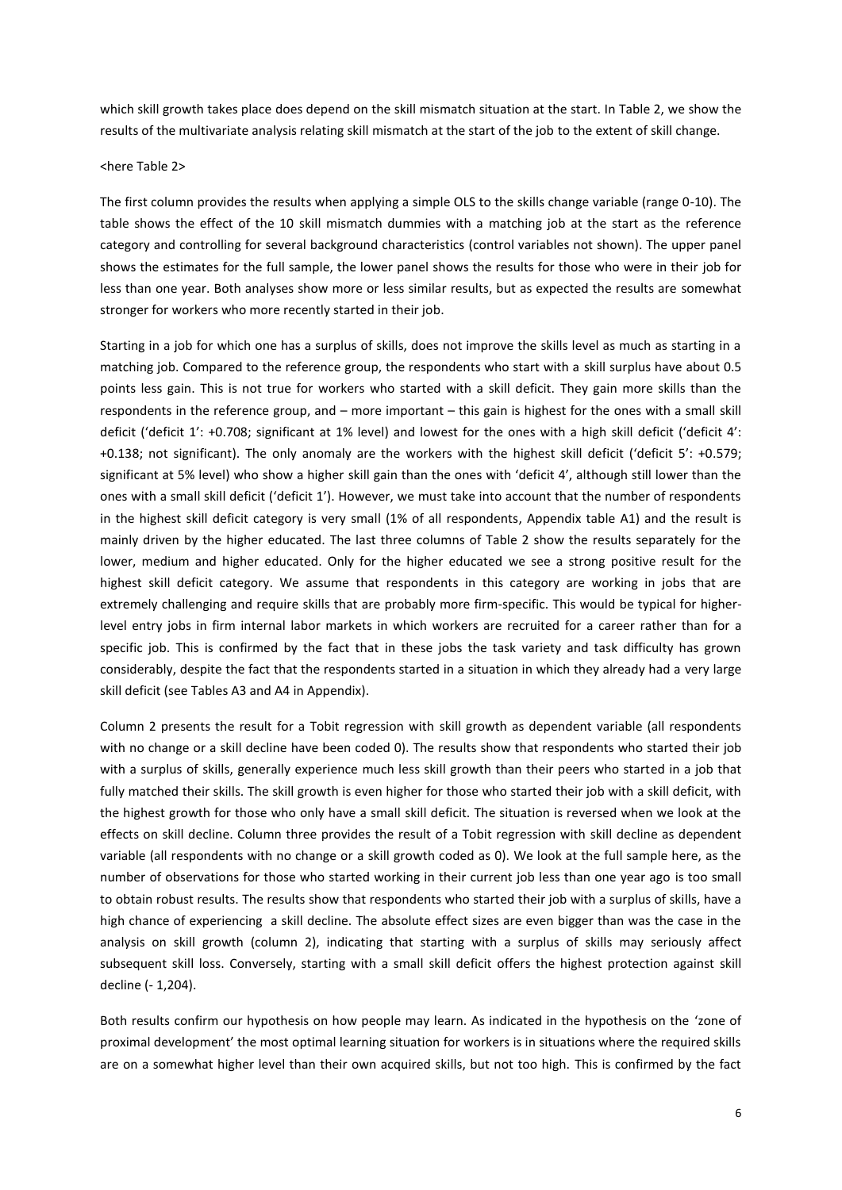which skill growth takes place does depend on the skill mismatch situation at the start. In Table 2, we show the results of the multivariate analysis relating skill mismatch at the start of the job to the extent of skill change.

### <here Table 2>

The first column provides the results when applying a simple OLS to the skills change variable (range 0-10). The table shows the effect of the 10 skill mismatch dummies with a matching job at the start as the reference category and controlling for several background characteristics (control variables not shown). The upper panel shows the estimates for the full sample, the lower panel shows the results for those who were in their job for less than one year. Both analyses show more or less similar results, but as expected the results are somewhat stronger for workers who more recently started in their job.

Starting in a job for which one has a surplus of skills, does not improve the skills level as much as starting in a matching job. Compared to the reference group, the respondents who start with a skill surplus have about 0.5 points less gain. This is not true for workers who started with a skill deficit. They gain more skills than the respondents in the reference group, and – more important – this gain is highest for the ones with a small skill deficit ('deficit 1': +0.708; significant at 1% level) and lowest for the ones with a high skill deficit ('deficit 4': +0.138; not significant). The only anomaly are the workers with the highest skill deficit ('deficit 5': +0.579; significant at 5% level) who show a higher skill gain than the ones with 'deficit 4', although still lower than the ones with a small skill deficit ('deficit 1'). However, we must take into account that the number of respondents in the highest skill deficit category is very small (1% of all respondents, Appendix table A1) and the result is mainly driven by the higher educated. The last three columns of Table 2 show the results separately for the lower, medium and higher educated. Only for the higher educated we see a strong positive result for the highest skill deficit category. We assume that respondents in this category are working in jobs that are extremely challenging and require skills that are probably more firm-specific. This would be typical for higherlevel entry jobs in firm internal labor markets in which workers are recruited for a career rather than for a specific job. This is confirmed by the fact that in these jobs the task variety and task difficulty has grown considerably, despite the fact that the respondents started in a situation in which they already had a very large skill deficit (see Tables A3 and A4 in Appendix).

Column 2 presents the result for a Tobit regression with skill growth as dependent variable (all respondents with no change or a skill decline have been coded 0). The results show that respondents who started their job with a surplus of skills, generally experience much less skill growth than their peers who started in a job that fully matched their skills. The skill growth is even higher for those who started their job with a skill deficit, with the highest growth for those who only have a small skill deficit. The situation is reversed when we look at the effects on skill decline. Column three provides the result of a Tobit regression with skill decline as dependent variable (all respondents with no change or a skill growth coded as 0). We look at the full sample here, as the number of observations for those who started working in their current job less than one year ago is too small to obtain robust results. The results show that respondents who started their job with a surplus of skills, have a high chance of experiencing a skill decline. The absolute effect sizes are even bigger than was the case in the analysis on skill growth (column 2), indicating that starting with a surplus of skills may seriously affect subsequent skill loss. Conversely, starting with a small skill deficit offers the highest protection against skill decline (- 1,204).

Both results confirm our hypothesis on how people may learn. As indicated in the hypothesis on the 'zone of proximal development' the most optimal learning situation for workers is in situations where the required skills are on a somewhat higher level than their own acquired skills, but not too high. This is confirmed by the fact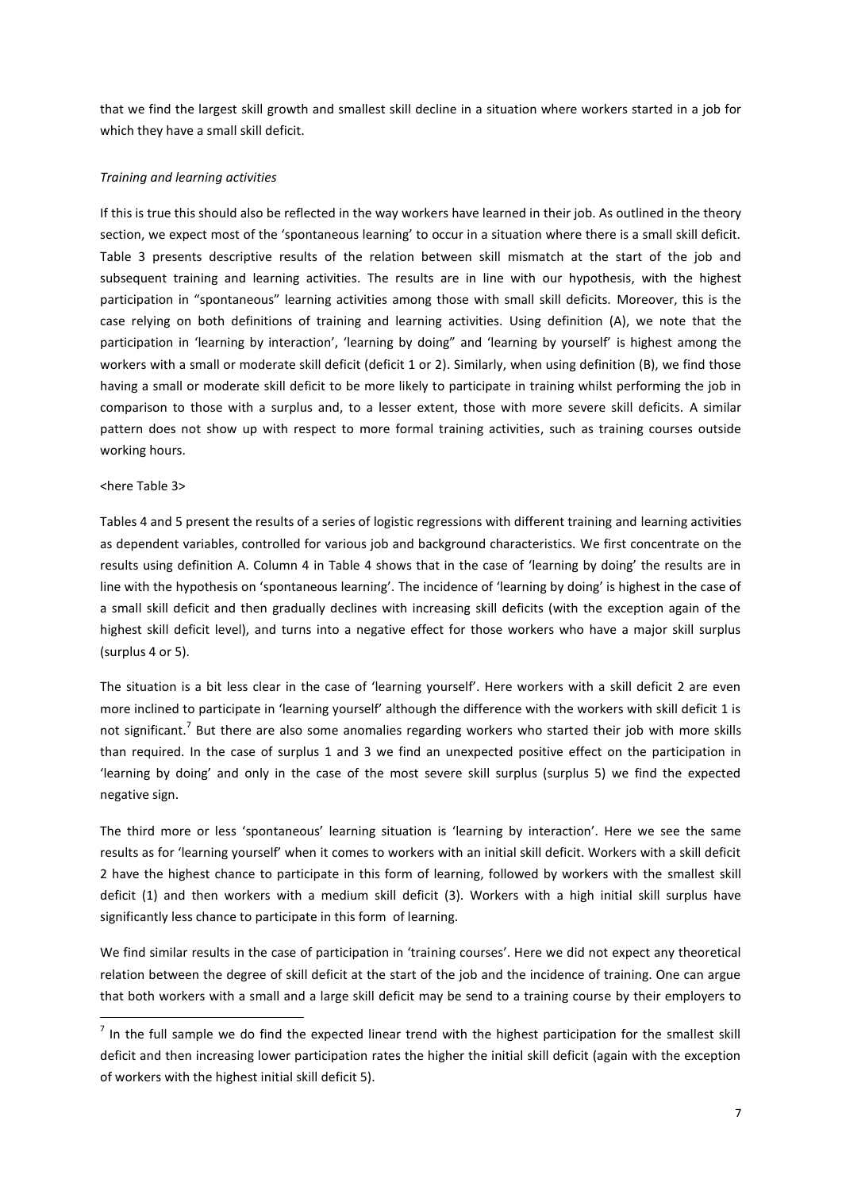that we find the largest skill growth and smallest skill decline in a situation where workers started in a job for which they have a small skill deficit.

# *Training and learning activities*

If this is true this should also be reflected in the way workers have learned in their job. As outlined in the theory section, we expect most of the 'spontaneous learning' to occur in a situation where there is a small skill deficit. Table 3 presents descriptive results of the relation between skill mismatch at the start of the job and subsequent training and learning activities. The results are in line with our hypothesis, with the highest participation in "spontaneous" learning activities among those with small skill deficits. Moreover, this is the case relying on both definitions of training and learning activities. Using definition (A), we note that the participation in 'learning by interaction', 'learning by doing" and 'learning by yourself' is highest among the workers with a small or moderate skill deficit (deficit 1 or 2). Similarly, when using definition (B), we find those having a small or moderate skill deficit to be more likely to participate in training whilst performing the job in comparison to those with a surplus and, to a lesser extent, those with more severe skill deficits. A similar pattern does not show up with respect to more formal training activities, such as training courses outside working hours.

# <here Table 3>

1

Tables 4 and 5 present the results of a series of logistic regressions with different training and learning activities as dependent variables, controlled for various job and background characteristics. We first concentrate on the results using definition A. Column 4 in Table 4 shows that in the case of 'learning by doing' the results are in line with the hypothesis on 'spontaneous learning'. The incidence of 'learning by doing' is highest in the case of a small skill deficit and then gradually declines with increasing skill deficits (with the exception again of the highest skill deficit level), and turns into a negative effect for those workers who have a major skill surplus (surplus 4 or 5).

The situation is a bit less clear in the case of 'learning yourself'. Here workers with a skill deficit 2 are even more inclined to participate in 'learning yourself' although the difference with the workers with skill deficit 1 is not significant.<sup>7</sup> But there are also some anomalies regarding workers who started their job with more skills than required. In the case of surplus 1 and 3 we find an unexpected positive effect on the participation in 'learning by doing' and only in the case of the most severe skill surplus (surplus 5) we find the expected negative sign.

The third more or less 'spontaneous' learning situation is 'learning by interaction'. Here we see the same results as for 'learning yourself' when it comes to workers with an initial skill deficit. Workers with a skill deficit 2 have the highest chance to participate in this form of learning, followed by workers with the smallest skill deficit (1) and then workers with a medium skill deficit (3). Workers with a high initial skill surplus have significantly less chance to participate in this form of learning.

We find similar results in the case of participation in 'training courses'. Here we did not expect any theoretical relation between the degree of skill deficit at the start of the job and the incidence of training. One can argue that both workers with a small and a large skill deficit may be send to a training course by their employers to

 $<sup>7</sup>$  In the full sample we do find the expected linear trend with the highest participation for the smallest skill</sup> deficit and then increasing lower participation rates the higher the initial skill deficit (again with the exception of workers with the highest initial skill deficit 5).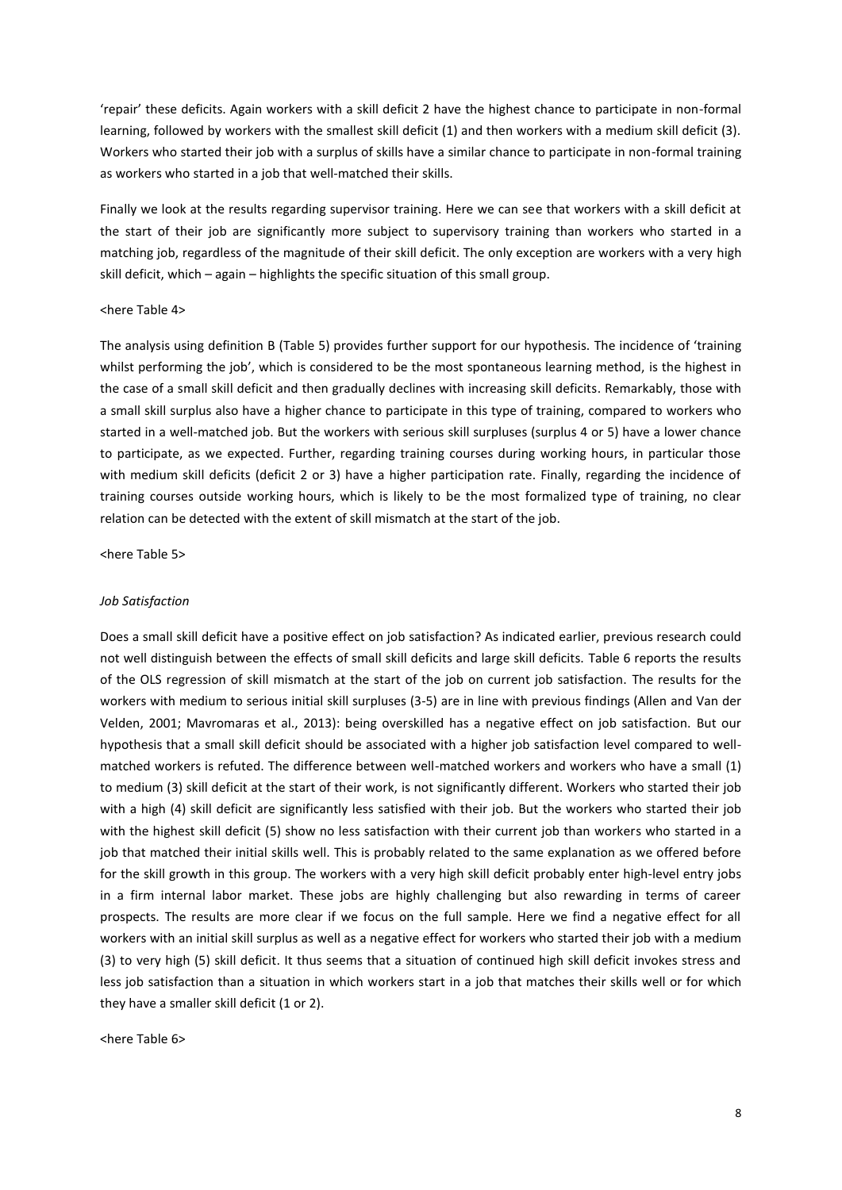'repair' these deficits. Again workers with a skill deficit 2 have the highest chance to participate in non-formal learning, followed by workers with the smallest skill deficit (1) and then workers with a medium skill deficit (3). Workers who started their job with a surplus of skills have a similar chance to participate in non-formal training as workers who started in a job that well-matched their skills.

Finally we look at the results regarding supervisor training. Here we can see that workers with a skill deficit at the start of their job are significantly more subject to supervisory training than workers who started in a matching job, regardless of the magnitude of their skill deficit. The only exception are workers with a very high skill deficit, which – again – highlights the specific situation of this small group.

## <here Table 4>

The analysis using definition B (Table 5) provides further support for our hypothesis. The incidence of 'training whilst performing the job', which is considered to be the most spontaneous learning method, is the highest in the case of a small skill deficit and then gradually declines with increasing skill deficits. Remarkably, those with a small skill surplus also have a higher chance to participate in this type of training, compared to workers who started in a well-matched job. But the workers with serious skill surpluses (surplus 4 or 5) have a lower chance to participate, as we expected. Further, regarding training courses during working hours, in particular those with medium skill deficits (deficit 2 or 3) have a higher participation rate. Finally, regarding the incidence of training courses outside working hours, which is likely to be the most formalized type of training, no clear relation can be detected with the extent of skill mismatch at the start of the job.

<here Table 5>

## *Job Satisfaction*

Does a small skill deficit have a positive effect on job satisfaction? As indicated earlier, previous research could not well distinguish between the effects of small skill deficits and large skill deficits. Table 6 reports the results of the OLS regression of skill mismatch at the start of the job on current job satisfaction. The results for the workers with medium to serious initial skill surpluses (3-5) are in line with previous findings (Allen and Van der Velden, 2001; Mavromaras et al., 2013): being overskilled has a negative effect on job satisfaction. But our hypothesis that a small skill deficit should be associated with a higher job satisfaction level compared to wellmatched workers is refuted. The difference between well-matched workers and workers who have a small (1) to medium (3) skill deficit at the start of their work, is not significantly different. Workers who started their job with a high (4) skill deficit are significantly less satisfied with their job. But the workers who started their job with the highest skill deficit (5) show no less satisfaction with their current job than workers who started in a job that matched their initial skills well. This is probably related to the same explanation as we offered before for the skill growth in this group. The workers with a very high skill deficit probably enter high-level entry jobs in a firm internal labor market. These jobs are highly challenging but also rewarding in terms of career prospects. The results are more clear if we focus on the full sample. Here we find a negative effect for all workers with an initial skill surplus as well as a negative effect for workers who started their job with a medium (3) to very high (5) skill deficit. It thus seems that a situation of continued high skill deficit invokes stress and less job satisfaction than a situation in which workers start in a job that matches their skills well or for which they have a smaller skill deficit (1 or 2).

<here Table 6>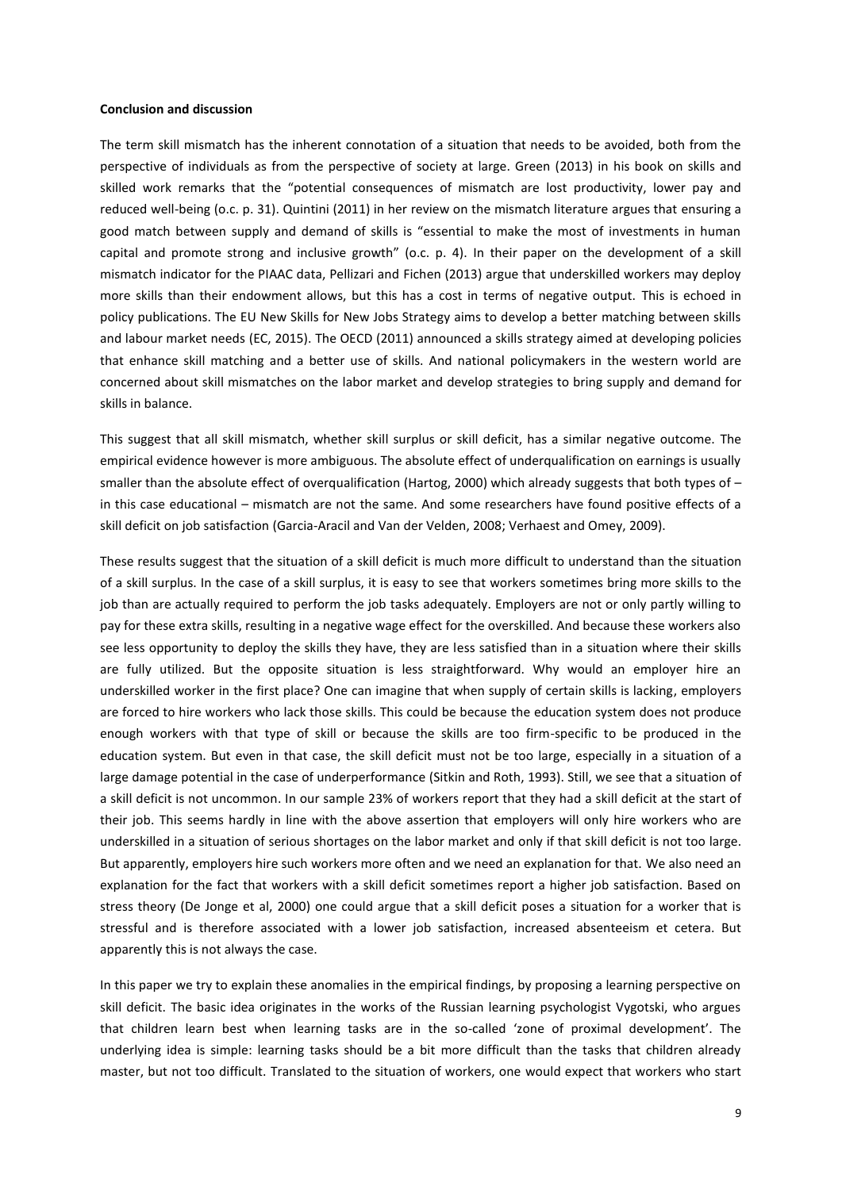### **Conclusion and discussion**

The term skill mismatch has the inherent connotation of a situation that needs to be avoided, both from the perspective of individuals as from the perspective of society at large. Green (2013) in his book on skills and skilled work remarks that the "potential consequences of mismatch are lost productivity, lower pay and reduced well-being (o.c. p. 31). Quintini (2011) in her review on the mismatch literature argues that ensuring a good match between supply and demand of skills is "essential to make the most of investments in human capital and promote strong and inclusive growth" (o.c. p. 4). In their paper on the development of a skill mismatch indicator for the PIAAC data, Pellizari and Fichen (2013) argue that underskilled workers may deploy more skills than their endowment allows, but this has a cost in terms of negative output. This is echoed in policy publications. The EU New Skills for New Jobs Strategy aims to develop a better matching between skills and labour market needs (EC, 2015). The OECD (2011) announced a skills strategy aimed at developing policies that enhance skill matching and a better use of skills. And national policymakers in the western world are concerned about skill mismatches on the labor market and develop strategies to bring supply and demand for skills in balance.

This suggest that all skill mismatch, whether skill surplus or skill deficit, has a similar negative outcome. The empirical evidence however is more ambiguous. The absolute effect of underqualification on earnings is usually smaller than the absolute effect of overqualification (Hartog, 2000) which already suggests that both types of – in this case educational – mismatch are not the same. And some researchers have found positive effects of a skill deficit on job satisfaction (Garcia-Aracil and Van der Velden, 2008; Verhaest and Omey, 2009).

These results suggest that the situation of a skill deficit is much more difficult to understand than the situation of a skill surplus. In the case of a skill surplus, it is easy to see that workers sometimes bring more skills to the job than are actually required to perform the job tasks adequately. Employers are not or only partly willing to pay for these extra skills, resulting in a negative wage effect for the overskilled. And because these workers also see less opportunity to deploy the skills they have, they are less satisfied than in a situation where their skills are fully utilized. But the opposite situation is less straightforward. Why would an employer hire an underskilled worker in the first place? One can imagine that when supply of certain skills is lacking, employers are forced to hire workers who lack those skills. This could be because the education system does not produce enough workers with that type of skill or because the skills are too firm-specific to be produced in the education system. But even in that case, the skill deficit must not be too large, especially in a situation of a large damage potential in the case of underperformance (Sitkin and Roth, 1993). Still, we see that a situation of a skill deficit is not uncommon. In our sample 23% of workers report that they had a skill deficit at the start of their job. This seems hardly in line with the above assertion that employers will only hire workers who are underskilled in a situation of serious shortages on the labor market and only if that skill deficit is not too large. But apparently, employers hire such workers more often and we need an explanation for that. We also need an explanation for the fact that workers with a skill deficit sometimes report a higher job satisfaction. Based on stress theory (De Jonge et al, 2000) one could argue that a skill deficit poses a situation for a worker that is stressful and is therefore associated with a lower job satisfaction, increased absenteeism et cetera. But apparently this is not always the case.

In this paper we try to explain these anomalies in the empirical findings, by proposing a learning perspective on skill deficit. The basic idea originates in the works of the Russian learning psychologist Vygotski, who argues that children learn best when learning tasks are in the so-called 'zone of proximal development'. The underlying idea is simple: learning tasks should be a bit more difficult than the tasks that children already master, but not too difficult. Translated to the situation of workers, one would expect that workers who start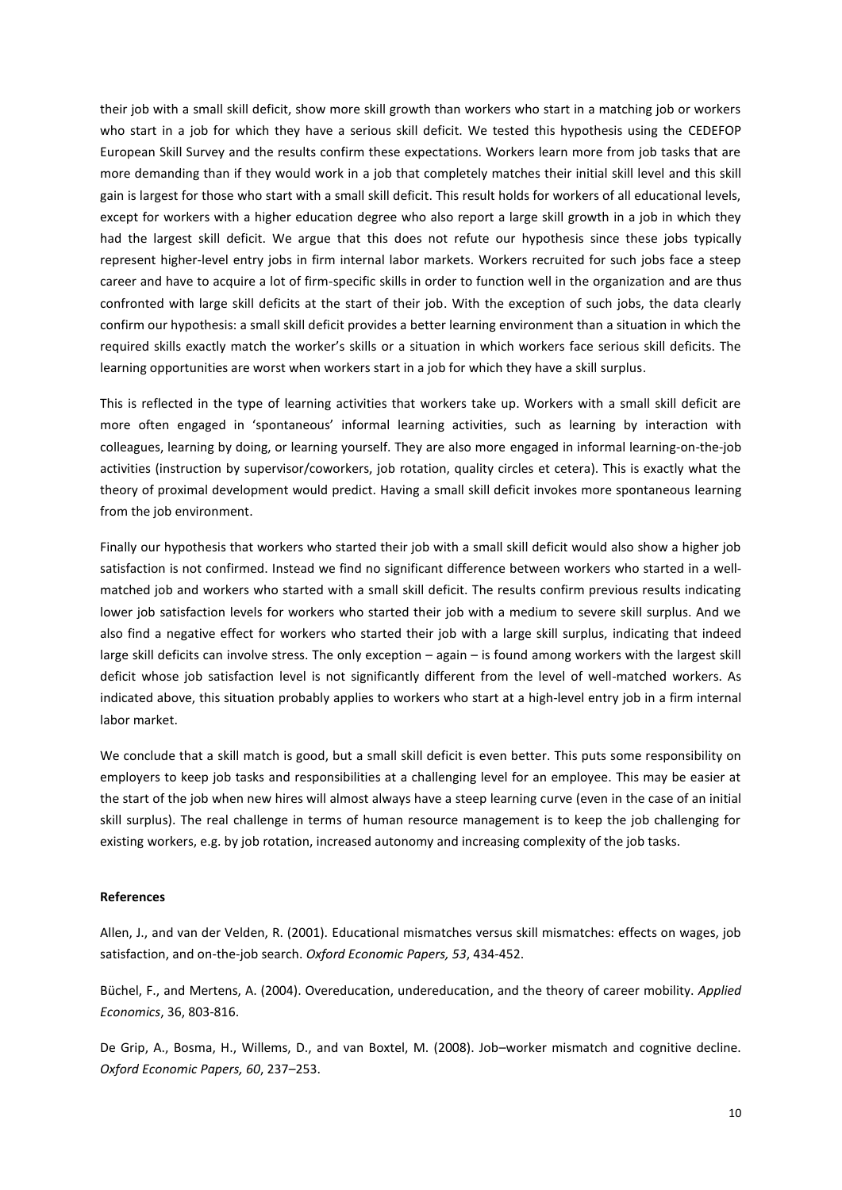their job with a small skill deficit, show more skill growth than workers who start in a matching job or workers who start in a job for which they have a serious skill deficit. We tested this hypothesis using the CEDEFOP European Skill Survey and the results confirm these expectations. Workers learn more from job tasks that are more demanding than if they would work in a job that completely matches their initial skill level and this skill gain is largest for those who start with a small skill deficit. This result holds for workers of all educational levels, except for workers with a higher education degree who also report a large skill growth in a job in which they had the largest skill deficit. We argue that this does not refute our hypothesis since these jobs typically represent higher-level entry jobs in firm internal labor markets. Workers recruited for such jobs face a steep career and have to acquire a lot of firm-specific skills in order to function well in the organization and are thus confronted with large skill deficits at the start of their job. With the exception of such jobs, the data clearly confirm our hypothesis: a small skill deficit provides a better learning environment than a situation in which the required skills exactly match the worker's skills or a situation in which workers face serious skill deficits. The learning opportunities are worst when workers start in a job for which they have a skill surplus.

This is reflected in the type of learning activities that workers take up. Workers with a small skill deficit are more often engaged in 'spontaneous' informal learning activities, such as learning by interaction with colleagues, learning by doing, or learning yourself. They are also more engaged in informal learning-on-the-job activities (instruction by supervisor/coworkers, job rotation, quality circles et cetera). This is exactly what the theory of proximal development would predict. Having a small skill deficit invokes more spontaneous learning from the job environment.

Finally our hypothesis that workers who started their job with a small skill deficit would also show a higher job satisfaction is not confirmed. Instead we find no significant difference between workers who started in a wellmatched job and workers who started with a small skill deficit. The results confirm previous results indicating lower job satisfaction levels for workers who started their job with a medium to severe skill surplus. And we also find a negative effect for workers who started their job with a large skill surplus, indicating that indeed large skill deficits can involve stress. The only exception – again – is found among workers with the largest skill deficit whose job satisfaction level is not significantly different from the level of well-matched workers. As indicated above, this situation probably applies to workers who start at a high-level entry job in a firm internal labor market.

We conclude that a skill match is good, but a small skill deficit is even better. This puts some responsibility on employers to keep job tasks and responsibilities at a challenging level for an employee. This may be easier at the start of the job when new hires will almost always have a steep learning curve (even in the case of an initial skill surplus). The real challenge in terms of human resource management is to keep the job challenging for existing workers, e.g. by job rotation, increased autonomy and increasing complexity of the job tasks.

# **References**

Allen, J., and van der Velden, R. (2001). Educational mismatches versus skill mismatches: effects on wages, job satisfaction, and on-the-job search. *Oxford Economic Papers, 53*, 434-452.

Büchel, F., and Mertens, A. (2004). Overeducation, undereducation, and the theory of career mobility. *Applied Economics*, 36, 803-816.

De Grip, A., Bosma, H., Willems, D., and van Boxtel, M. (2008). Job–worker mismatch and cognitive decline. *Oxford Economic Papers, 60*, 237–253.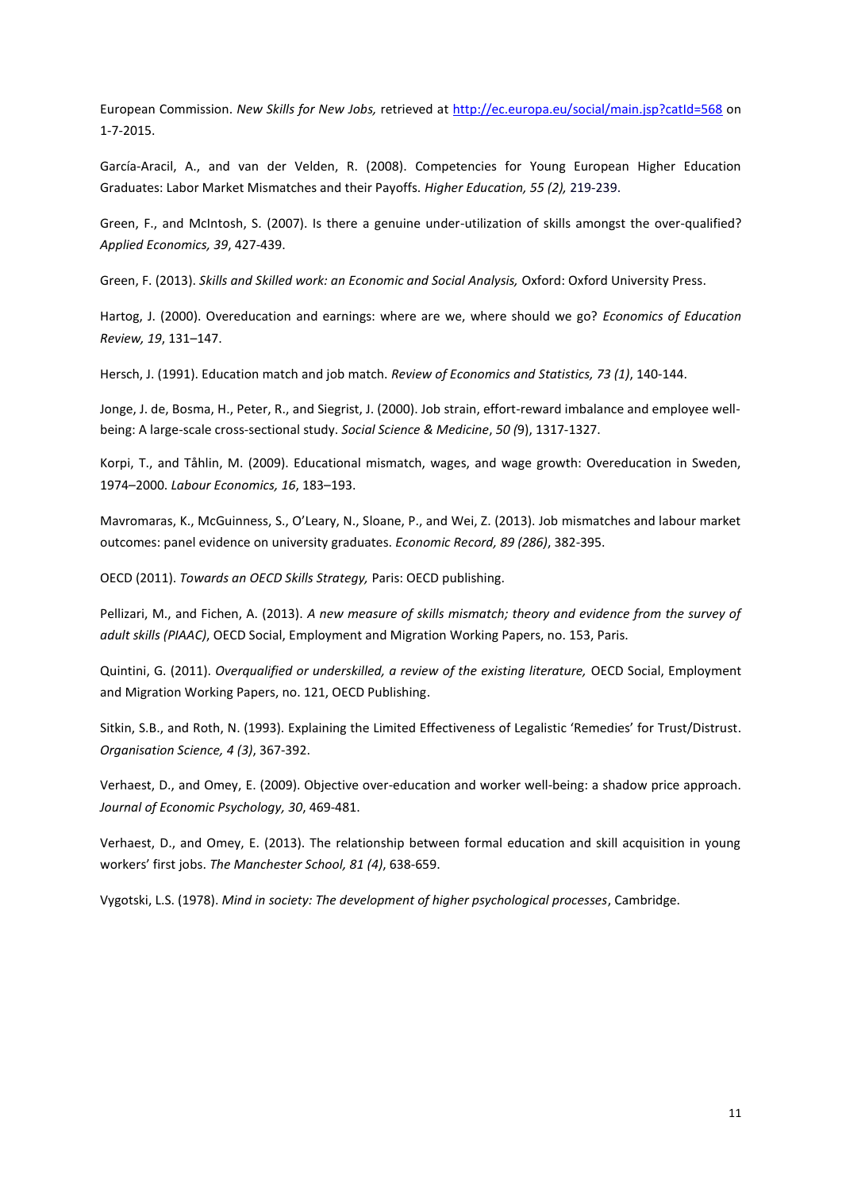European Commission. *New Skills for New Jobs,* retrieved at<http://ec.europa.eu/social/main.jsp?catId=568> on 1-7-2015.

García-Aracil, A., and van der Velden, R. (2008). Competencies for Young European Higher Education Graduates: Labor Market Mismatches and their Payoffs. *Higher Education, 55 (2),* 219-239.

Green, F., and McIntosh, S. (2007). Is there a genuine under-utilization of skills amongst the over-qualified? *Applied Economics, 39*, 427-439.

Green, F. (2013). *Skills and Skilled work: an Economic and Social Analysis,* Oxford: Oxford University Press.

Hartog, J. (2000). Overeducation and earnings: where are we, where should we go? *Economics of Education Review, 19*, 131–147.

Hersch, J. (1991). Education match and job match. *Review of Economics and Statistics, 73 (1)*, 140-144.

Jonge, J. de, Bosma, H., Peter, R., and Siegrist, J. (2000). [Job strain, effort-reward imbalance and employee well](http://www.jandejonge.nl/secure/ssm2000.pdf)[being: A large-scale cross-sectional study.](http://www.jandejonge.nl/secure/ssm2000.pdf) *Social Science & Medicine*, *50 (*9), 1317-1327.

Korpi, T., and Tåhlin, M. (2009). Educational mismatch, wages, and wage growth: Overeducation in Sweden, 1974–2000. *Labour Economics, 16*, 183–193.

Mavromaras, K., McGuinness, S., O'Leary, N., Sloane, P., and Wei, Z. (2013). Job mismatches and labour market outcomes: panel evidence on university graduates. *Economic Record, 89 (286)*, 382-395.

OECD (2011). *Towards an OECD Skills Strategy,* Paris: OECD publishing.

Pellizari, M., and Fichen, A. (2013). *A new measure of skills mismatch; theory and evidence from the survey of adult skills (PIAAC)*, OECD Social, Employment and Migration Working Papers, no. 153, Paris.

Quintini, G. (2011). *Overqualified or underskilled, a review of the existing literature, OECD Social, Employment* and Migration Working Papers, no. 121, OECD Publishing.

Sitkin, S.B., and Roth, N. (1993). Explaining the Limited Effectiveness of Legalistic 'Remedies' for Trust/Distrust. *Organisation Science, 4 (3)*, 367-392.

Verhaest, D., and Omey, E. (2009). Objective over-education and worker well-being: a shadow price approach. *Journal of Economic Psychology, 30*, 469-481.

Verhaest, D., and Omey, E. (2013). The relationship between formal education and skill acquisition in young workers' first jobs. *The Manchester School, 81 (4)*, 638-659.

Vygotski, L.S. (1978). *Mind in society: The development of higher psychological processes*, Cambridge.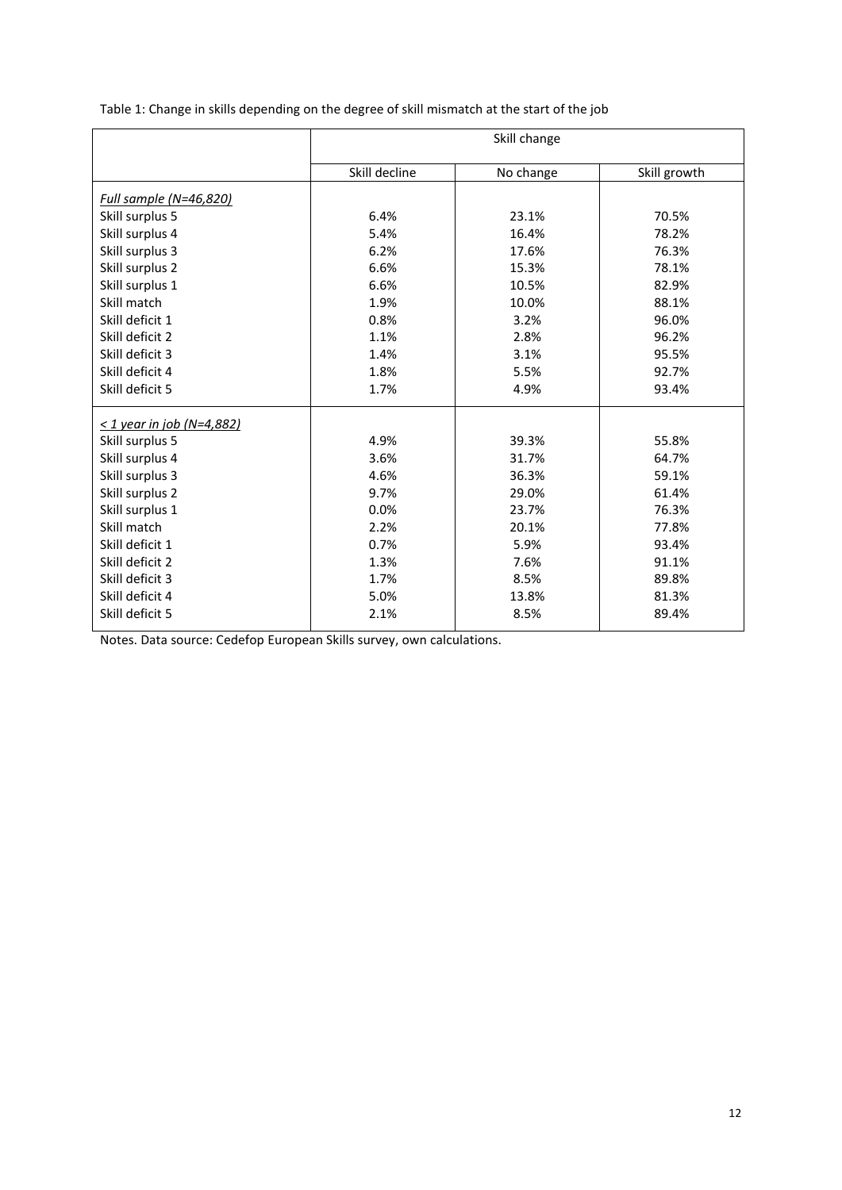|  | Table 1: Change in skills depending on the degree of skill mismatch at the start of the job |  |
|--|---------------------------------------------------------------------------------------------|--|
|--|---------------------------------------------------------------------------------------------|--|

|                                | Skill change  |           |              |  |  |  |  |
|--------------------------------|---------------|-----------|--------------|--|--|--|--|
|                                | Skill decline | No change | Skill growth |  |  |  |  |
| <u>Full sample (N=46,820)</u>  |               |           |              |  |  |  |  |
| Skill surplus 5                | 6.4%          | 23.1%     | 70.5%        |  |  |  |  |
| Skill surplus 4                | 5.4%          | 16.4%     | 78.2%        |  |  |  |  |
| Skill surplus 3                | 6.2%          | 17.6%     | 76.3%        |  |  |  |  |
| Skill surplus 2                | 6.6%          | 15.3%     | 78.1%        |  |  |  |  |
| Skill surplus 1                | 6.6%          | 10.5%     | 82.9%        |  |  |  |  |
| Skill match                    | 1.9%          | 10.0%     | 88.1%        |  |  |  |  |
| Skill deficit 1                | 0.8%          | 3.2%      | 96.0%        |  |  |  |  |
| Skill deficit 2                | 1.1%          | 2.8%      | 96.2%        |  |  |  |  |
| Skill deficit 3                | 1.4%          | 3.1%      | 95.5%        |  |  |  |  |
| Skill deficit 4                | 1.8%          | 5.5%      | 92.7%        |  |  |  |  |
| Skill deficit 5                | 1.7%          | 4.9%      | 93.4%        |  |  |  |  |
| $\leq$ 1 year in job (N=4,882) |               |           |              |  |  |  |  |
| Skill surplus 5                | 4.9%          | 39.3%     | 55.8%        |  |  |  |  |
| Skill surplus 4                | 3.6%          | 31.7%     | 64.7%        |  |  |  |  |
| Skill surplus 3                | 4.6%          | 36.3%     | 59.1%        |  |  |  |  |
| Skill surplus 2                | 9.7%          | 29.0%     | 61.4%        |  |  |  |  |
| Skill surplus 1                | 0.0%          | 23.7%     | 76.3%        |  |  |  |  |
| Skill match                    | 2.2%          | 20.1%     | 77.8%        |  |  |  |  |
| Skill deficit 1                | 0.7%          | 5.9%      | 93.4%        |  |  |  |  |
| Skill deficit 2                | 1.3%          | 7.6%      | 91.1%        |  |  |  |  |
| Skill deficit 3                | 1.7%          | 8.5%      | 89.8%        |  |  |  |  |
| Skill deficit 4                | 5.0%          | 13.8%     | 81.3%        |  |  |  |  |
| Skill deficit 5                | 2.1%          | 8.5%      | 89.4%        |  |  |  |  |

Notes. Data source: Cedefop European Skills survey, own calculations.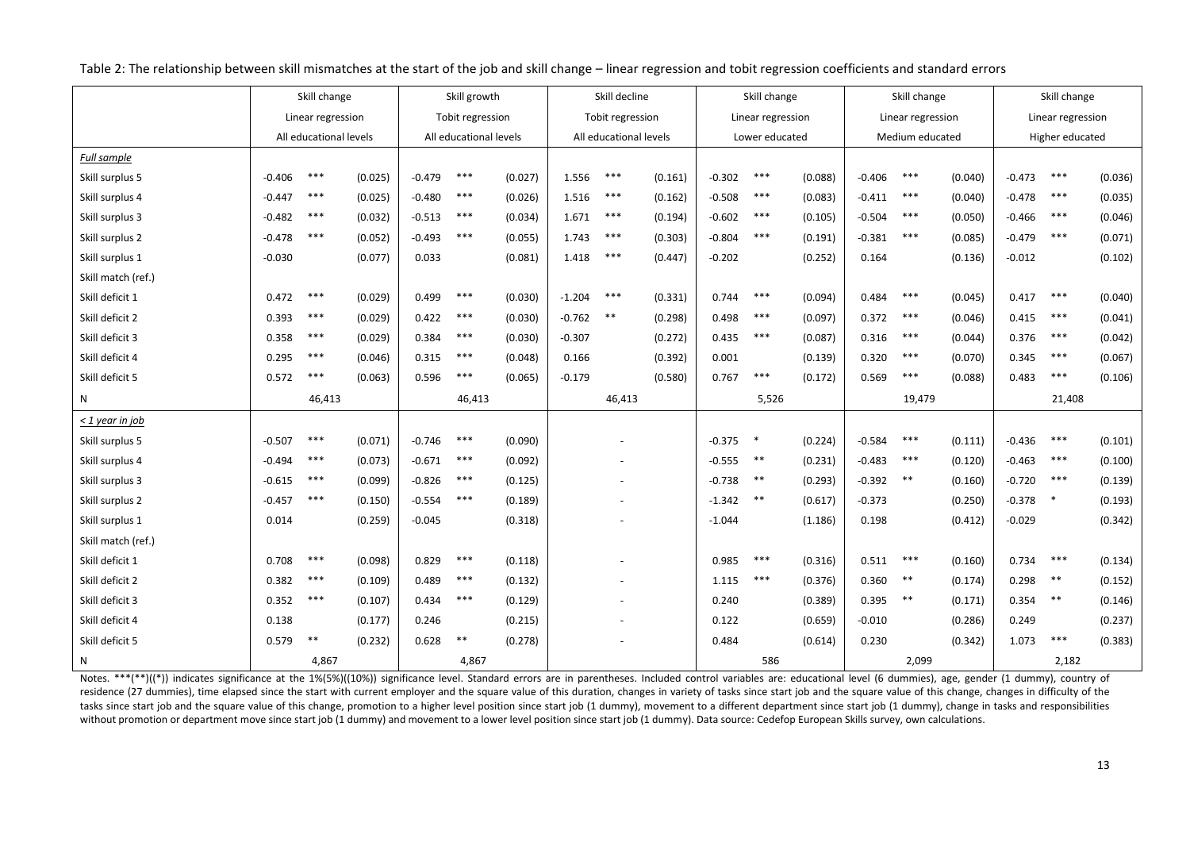|                    |          | Skill change           |         |          | Skill growth           |         |          | Skill decline          |         |          | Skill change      |         |          | Skill change      |         |          | Skill change      |         |
|--------------------|----------|------------------------|---------|----------|------------------------|---------|----------|------------------------|---------|----------|-------------------|---------|----------|-------------------|---------|----------|-------------------|---------|
|                    |          | Linear regression      |         |          | Tobit regression       |         |          | Tobit regression       |         |          | Linear regression |         |          | Linear regression |         |          | Linear regression |         |
|                    |          | All educational levels |         |          | All educational levels |         |          | All educational levels |         |          | Lower educated    |         |          | Medium educated   |         |          | Higher educated   |         |
| Full sample        |          |                        |         |          |                        |         |          |                        |         |          |                   |         |          |                   |         |          |                   |         |
| Skill surplus 5    | $-0.406$ | $***$                  | (0.025) | $-0.479$ | $***$                  | (0.027) | 1.556    | $***$                  | (0.161) | $-0.302$ | ***               | (0.088) | $-0.406$ | $***$             | (0.040) | $-0.473$ | $***$             | (0.036) |
| Skill surplus 4    | $-0.447$ | $***$                  | (0.025) | $-0.480$ | $***$                  | (0.026) | 1.516    | $***$                  | (0.162) | $-0.508$ | $***$             | (0.083) | $-0.411$ | $***$             | (0.040) | $-0.478$ | $***$             | (0.035) |
| Skill surplus 3    | $-0.482$ | $***$                  | (0.032) | $-0.513$ | $***$                  | (0.034) | 1.671    | $***$                  | (0.194) | $-0.602$ | $***$             | (0.105) | $-0.504$ | $***$             | (0.050) | $-0.466$ | $***$             | (0.046) |
| Skill surplus 2    | $-0.478$ | $***$                  | (0.052) | $-0.493$ | $***$                  | (0.055) | 1.743    | $***$                  | (0.303) | $-0.804$ | $***$             | (0.191) | $-0.381$ | $***$             | (0.085) | $-0.479$ | $***$             | (0.071) |
| Skill surplus 1    | $-0.030$ |                        | (0.077) | 0.033    |                        | (0.081) | 1.418    | $***$                  | (0.447) | $-0.202$ |                   | (0.252) | 0.164    |                   | (0.136) | $-0.012$ |                   | (0.102) |
| Skill match (ref.) |          |                        |         |          |                        |         |          |                        |         |          |                   |         |          |                   |         |          |                   |         |
| Skill deficit 1    | 0.472    | $***$                  | (0.029) | 0.499    | $***$                  | (0.030) | $-1.204$ | $***$                  | (0.331) | 0.744    | $***$             | (0.094) | 0.484    | $***$             | (0.045) | 0.417    | $***$             | (0.040) |
| Skill deficit 2    | 0.393    | $***$                  | (0.029) | 0.422    | $***$                  | (0.030) | $-0.762$ | $***$                  | (0.298) | 0.498    | $***$             | (0.097) | 0.372    | $***$             | (0.046) | 0.415    | $***$             | (0.041) |
| Skill deficit 3    | 0.358    | $***$                  | (0.029) | 0.384    | $***$                  | (0.030) | $-0.307$ |                        | (0.272) | 0.435    | $***$             | (0.087) | 0.316    | $***$             | (0.044) | 0.376    | $***$             | (0.042) |
| Skill deficit 4    | 0.295    | $***$                  | (0.046) | 0.315    | $***$                  | (0.048) | 0.166    |                        | (0.392) | 0.001    |                   | (0.139) | 0.320    | $***$             | (0.070) | 0.345    | $***$             | (0.067) |
| Skill deficit 5    | 0.572    | $***$                  | (0.063) | 0.596    | $***$                  | (0.065) | $-0.179$ |                        | (0.580) | 0.767    | $***$             | (0.172) | 0.569    | $***$             | (0.088) | 0.483    | $***$             | (0.106) |
| N                  |          | 46,413                 |         |          | 46,413                 |         |          | 46,413                 |         |          | 5,526             |         |          | 19,479            |         |          | 21,408            |         |
| $<$ 1 year in job  |          |                        |         |          |                        |         |          |                        |         |          |                   |         |          |                   |         |          |                   |         |
| Skill surplus 5    | $-0.507$ | $***$                  | (0.071) | $-0.746$ | $***$                  | (0.090) |          |                        |         | $-0.375$ | $\ast$            | (0.224) | $-0.584$ | $***$             | (0.111) | $-0.436$ | $***$             | (0.101) |
| Skill surplus 4    | $-0.494$ | $***$                  | (0.073) | $-0.671$ | $***$                  | (0.092) |          |                        |         | $-0.555$ | $***$             | (0.231) | $-0.483$ | $***$             | (0.120) | $-0.463$ | $***$             | (0.100) |
| Skill surplus 3    | $-0.615$ | $***$                  | (0.099) | $-0.826$ | $***$                  | (0.125) |          |                        |         | $-0.738$ | $***$             | (0.293) | $-0.392$ | $***$             | (0.160) | $-0.720$ | $***$             | (0.139) |
| Skill surplus 2    | $-0.457$ | $***$                  | (0.150) | $-0.554$ | $***$                  | (0.189) |          |                        |         | $-1.342$ | $\ast\ast$        | (0.617) | $-0.373$ |                   | (0.250) | $-0.378$ | $\ast$            | (0.193) |
| Skill surplus 1    | 0.014    |                        | (0.259) | $-0.045$ |                        | (0.318) |          |                        |         | $-1.044$ |                   | (1.186) | 0.198    |                   | (0.412) | $-0.029$ |                   | (0.342) |
| Skill match (ref.) |          |                        |         |          |                        |         |          |                        |         |          |                   |         |          |                   |         |          |                   |         |
| Skill deficit 1    | 0.708    | $***$                  | (0.098) | 0.829    | $***$                  | (0.118) |          |                        |         | 0.985    | $***$             | (0.316) | 0.511    | $***$             | (0.160) | 0.734    | $***$             | (0.134) |
| Skill deficit 2    | 0.382    | $***$                  | (0.109) | 0.489    | $***$                  | (0.132) |          |                        |         | 1.115    | $***$             | (0.376) | 0.360    | $\ast\ast$        | (0.174) | 0.298    | $\ast\ast$        | (0.152) |
| Skill deficit 3    | 0.352    | $***$                  | (0.107) | 0.434    | $***$                  | (0.129) |          |                        |         | 0.240    |                   | (0.389) | 0.395    | $***$             | (0.171) | 0.354    | $***$             | (0.146) |
| Skill deficit 4    | 0.138    |                        | (0.177) | 0.246    |                        | (0.215) |          |                        |         | 0.122    |                   | (0.659) | $-0.010$ |                   | (0.286) | 0.249    |                   | (0.237) |
| Skill deficit 5    | 0.579    | $\ast\ast$             | (0.232) | 0.628    | $***$                  | (0.278) |          |                        |         | 0.484    |                   | (0.614) | 0.230    |                   | (0.342) | 1.073    | $***$             | (0.383) |
| N                  |          | 4,867                  |         |          | 4,867                  |         |          |                        |         |          | 586               |         |          | 2,099             |         |          | 2,182             |         |

Table 2: The relationship between skill mismatches at the start of the job and skill change – linear regression and tobit regression coefficients and standard errors

Notes. \*\*\*(\*\*)((\*)) indicates significance at the 1%(5%)((10%)) significance level. Standard errors are in parentheses. Included control variables are: educational level (6 dummies), age, gender (1 dummy), country of residence (27 dummies), time elapsed since the start with current employer and the square value of this duration, changes in variety of tasks since start job and the square value of this change, changes in difficulty of th tasks since start job and the square value of this change, promotion to a higher level position since start job (1 dummy), movement to a different department since start job (1 dummy), change in tasks and responsibilities without promotion or department move since start job (1 dummy) and movement to a lower level position since start job (1 dummy). Data source: Cedefop European Skills survey, own calculations.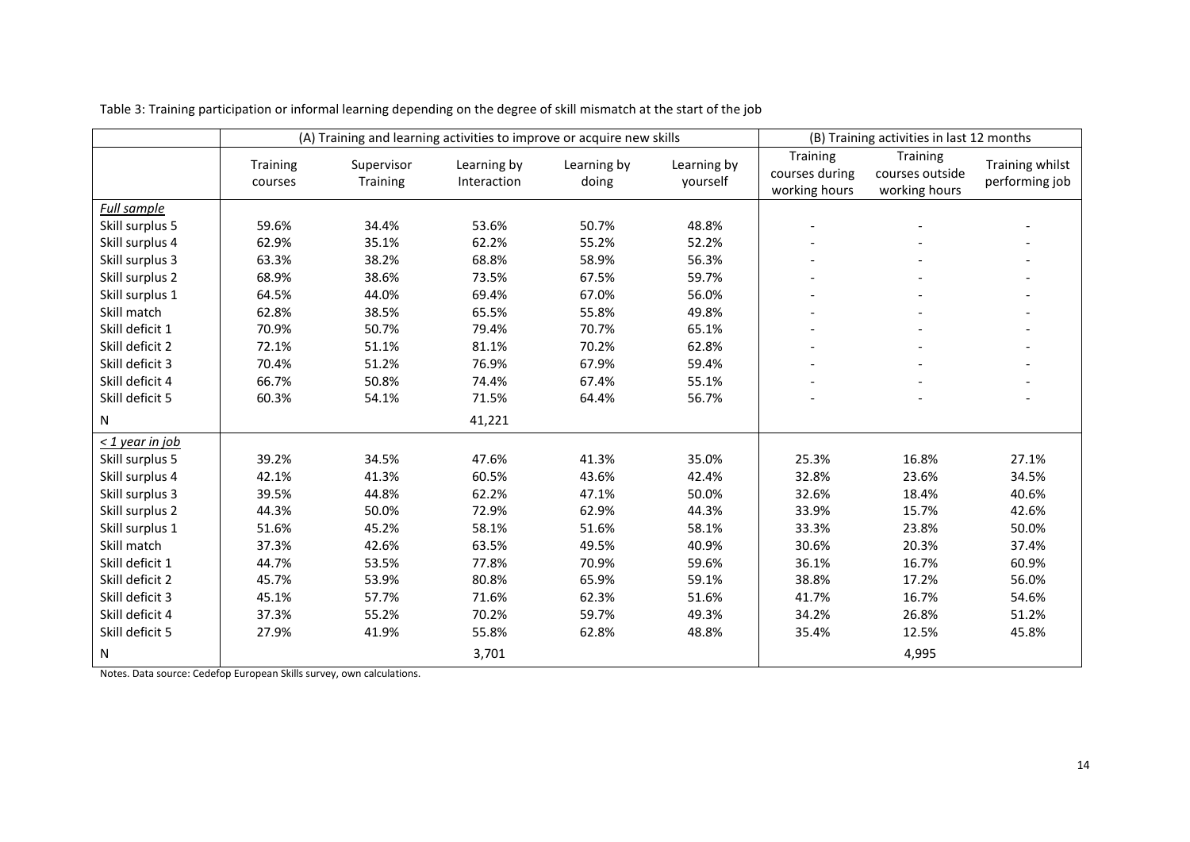|                      |                            |                        | (A) Training and learning activities to improve or acquire new skills |                      |                         | (B) Training activities in last 12 months   |                                              |                                   |
|----------------------|----------------------------|------------------------|-----------------------------------------------------------------------|----------------------|-------------------------|---------------------------------------------|----------------------------------------------|-----------------------------------|
|                      | <b>Training</b><br>courses | Supervisor<br>Training | Learning by<br>Interaction                                            | Learning by<br>doing | Learning by<br>yourself | Training<br>courses during<br>working hours | Training<br>courses outside<br>working hours | Training whilst<br>performing job |
| <b>Full sample</b>   |                            |                        |                                                                       |                      |                         |                                             |                                              |                                   |
| Skill surplus 5      | 59.6%                      | 34.4%                  | 53.6%                                                                 | 50.7%                | 48.8%                   | $\overline{\phantom{a}}$                    |                                              |                                   |
| Skill surplus 4      | 62.9%                      | 35.1%                  | 62.2%                                                                 | 55.2%                | 52.2%                   |                                             |                                              |                                   |
| Skill surplus 3      | 63.3%                      | 38.2%                  | 68.8%                                                                 | 58.9%                | 56.3%                   |                                             |                                              |                                   |
| Skill surplus 2      | 68.9%                      | 38.6%                  | 73.5%                                                                 | 67.5%                | 59.7%                   |                                             |                                              |                                   |
| Skill surplus 1      | 64.5%                      | 44.0%                  | 69.4%                                                                 | 67.0%                | 56.0%                   |                                             |                                              |                                   |
| Skill match          | 62.8%                      | 38.5%                  | 65.5%                                                                 | 55.8%                | 49.8%                   |                                             |                                              |                                   |
| Skill deficit 1      | 70.9%                      | 50.7%                  | 79.4%                                                                 | 70.7%                | 65.1%                   |                                             |                                              |                                   |
| Skill deficit 2      | 72.1%                      | 51.1%                  | 81.1%                                                                 | 70.2%                | 62.8%                   |                                             |                                              |                                   |
| Skill deficit 3      | 70.4%                      | 51.2%                  | 76.9%                                                                 | 67.9%                | 59.4%                   | $\overline{a}$                              |                                              |                                   |
| Skill deficit 4      | 66.7%                      | 50.8%                  | 74.4%                                                                 | 67.4%                | 55.1%                   |                                             |                                              |                                   |
| Skill deficit 5      | 60.3%                      | 54.1%                  | 71.5%                                                                 | 64.4%                | 56.7%                   |                                             |                                              |                                   |
| N                    |                            |                        | 41,221                                                                |                      |                         |                                             |                                              |                                   |
| $\leq$ 1 year in job |                            |                        |                                                                       |                      |                         |                                             |                                              |                                   |
| Skill surplus 5      | 39.2%                      | 34.5%                  | 47.6%                                                                 | 41.3%                | 35.0%                   | 25.3%                                       | 16.8%                                        | 27.1%                             |
| Skill surplus 4      | 42.1%                      | 41.3%                  | 60.5%                                                                 | 43.6%                | 42.4%                   | 32.8%                                       | 23.6%                                        | 34.5%                             |
| Skill surplus 3      | 39.5%                      | 44.8%                  | 62.2%                                                                 | 47.1%                | 50.0%                   | 32.6%                                       | 18.4%                                        | 40.6%                             |
| Skill surplus 2      | 44.3%                      | 50.0%                  | 72.9%                                                                 | 62.9%                | 44.3%                   | 33.9%                                       | 15.7%                                        | 42.6%                             |
| Skill surplus 1      | 51.6%                      | 45.2%                  | 58.1%                                                                 | 51.6%                | 58.1%                   | 33.3%                                       | 23.8%                                        | 50.0%                             |
| Skill match          | 37.3%                      | 42.6%                  | 63.5%                                                                 | 49.5%                | 40.9%                   | 30.6%                                       | 20.3%                                        | 37.4%                             |
| Skill deficit 1      | 44.7%                      | 53.5%                  | 77.8%                                                                 | 70.9%                | 59.6%                   | 36.1%                                       | 16.7%                                        | 60.9%                             |
| Skill deficit 2      | 45.7%                      | 53.9%                  | 80.8%                                                                 | 65.9%                | 59.1%                   | 38.8%                                       | 17.2%                                        | 56.0%                             |
| Skill deficit 3      | 45.1%                      | 57.7%                  | 71.6%                                                                 | 62.3%                | 51.6%                   | 41.7%                                       | 16.7%                                        | 54.6%                             |
| Skill deficit 4      | 37.3%                      | 55.2%                  | 70.2%                                                                 | 59.7%                | 49.3%                   | 34.2%                                       | 26.8%                                        | 51.2%                             |
| Skill deficit 5      | 27.9%                      | 41.9%                  | 55.8%                                                                 | 62.8%                | 48.8%                   | 35.4%                                       | 12.5%                                        | 45.8%                             |
| N                    |                            |                        | 3,701                                                                 |                      |                         |                                             | 4,995                                        |                                   |

Table 3: Training participation or informal learning depending on the degree of skill mismatch at the start of the job

Notes. Data source: Cedefop European Skills survey, own calculations.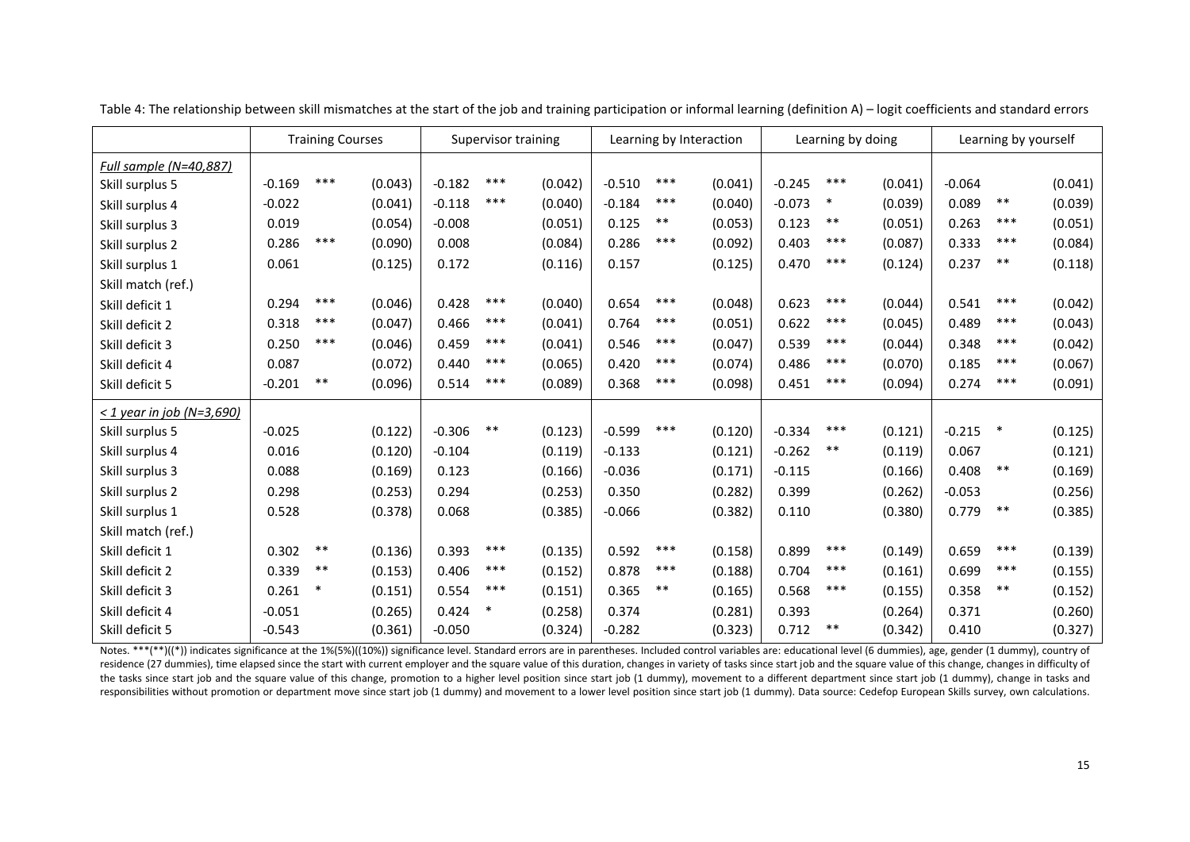|                                |          | <b>Training Courses</b> |         |          | Learning by Interaction<br>Supervisor training |         |          | Learning by doing |         |          | Learning by yourself |         |          |        |         |
|--------------------------------|----------|-------------------------|---------|----------|------------------------------------------------|---------|----------|-------------------|---------|----------|----------------------|---------|----------|--------|---------|
| Full sample (N=40,887)         |          |                         |         |          |                                                |         |          |                   |         |          |                      |         |          |        |         |
| Skill surplus 5                | $-0.169$ | $***$                   | (0.043) | $-0.182$ | ***                                            | (0.042) | $-0.510$ | ***               | (0.041) | $-0.245$ | ***                  | (0.041) | $-0.064$ |        | (0.041) |
| Skill surplus 4                | $-0.022$ |                         | (0.041) | $-0.118$ | ***                                            | (0.040) | $-0.184$ | ***               | (0.040) | $-0.073$ | $\ast$               | (0.039) | 0.089    | $***$  | (0.039) |
| Skill surplus 3                | 0.019    |                         | (0.054) | $-0.008$ |                                                | (0.051) | 0.125    | $***$             | (0.053) | 0.123    | $***$                | (0.051) | 0.263    | ***    | (0.051) |
| Skill surplus 2                | 0.286    | $***$                   | (0.090) | 0.008    |                                                | (0.084) | 0.286    | ***               | (0.092) | 0.403    | $***$                | (0.087) | 0.333    | ***    | (0.084) |
| Skill surplus 1                | 0.061    |                         | (0.125) | 0.172    |                                                | (0.116) | 0.157    |                   | (0.125) | 0.470    | $***$                | (0.124) | 0.237    | $***$  | (0.118) |
| Skill match (ref.)             |          |                         |         |          |                                                |         |          |                   |         |          |                      |         |          |        |         |
| Skill deficit 1                | 0.294    | ***                     | (0.046) | 0.428    | ***                                            | (0.040) | 0.654    | $***$             | (0.048) | 0.623    | $***$                | (0.044) | 0.541    | $***$  | (0.042) |
| Skill deficit 2                | 0.318    | ***                     | (0.047) | 0.466    | $***$                                          | (0.041) | 0.764    | ***               | (0.051) | 0.622    | $***$                | (0.045) | 0.489    | $***$  | (0.043) |
| Skill deficit 3                | 0.250    | ***                     | (0.046) | 0.459    | ***                                            | (0.041) | 0.546    | $***$             | (0.047) | 0.539    | $***$                | (0.044) | 0.348    | $***$  | (0.042) |
| Skill deficit 4                | 0.087    |                         | (0.072) | 0.440    | ***                                            | (0.065) | 0.420    | $***$             | (0.074) | 0.486    | ***                  | (0.070) | 0.185    | ***    | (0.067) |
| Skill deficit 5                | $-0.201$ | $***$                   | (0.096) | 0.514    | $***$                                          | (0.089) | 0.368    | $***$             | (0.098) | 0.451    | ***                  | (0.094) | 0.274    | ***    | (0.091) |
| $\leq$ 1 year in job (N=3,690) |          |                         |         |          |                                                |         |          |                   |         |          |                      |         |          |        |         |
| Skill surplus 5                | $-0.025$ |                         | (0.122) | $-0.306$ | $***$                                          | (0.123) | $-0.599$ | ***               | (0.120) | $-0.334$ | ***                  | (0.121) | $-0.215$ | $\ast$ | (0.125) |
| Skill surplus 4                | 0.016    |                         | (0.120) | $-0.104$ |                                                | (0.119) | $-0.133$ |                   | (0.121) | $-0.262$ | $***$                | (0.119) | 0.067    |        | (0.121) |
| Skill surplus 3                | 0.088    |                         | (0.169) | 0.123    |                                                | (0.166) | $-0.036$ |                   | (0.171) | $-0.115$ |                      | (0.166) | 0.408    | $***$  | (0.169) |
| Skill surplus 2                | 0.298    |                         | (0.253) | 0.294    |                                                | (0.253) | 0.350    |                   | (0.282) | 0.399    |                      | (0.262) | $-0.053$ |        | (0.256) |
| Skill surplus 1                | 0.528    |                         | (0.378) | 0.068    |                                                | (0.385) | $-0.066$ |                   | (0.382) | 0.110    |                      | (0.380) | 0.779    | $***$  | (0.385) |
| Skill match (ref.)             |          |                         |         |          |                                                |         |          |                   |         |          |                      |         |          |        |         |
| Skill deficit 1                | 0.302    | $***$                   | (0.136) | 0.393    | $***$                                          | (0.135) | 0.592    | $***$             | (0.158) | 0.899    | $***$                | (0.149) | 0.659    | $***$  | (0.139) |
| Skill deficit 2                | 0.339    | $***$                   | (0.153) | 0.406    | ***                                            | (0.152) | 0.878    | ***               | (0.188) | 0.704    | $***$                | (0.161) | 0.699    | $***$  | (0.155) |
| Skill deficit 3                | 0.261    | $\ast$                  | (0.151) | 0.554    | $***$                                          | (0.151) | 0.365    | $***$             | (0.165) | 0.568    | ***                  | (0.155) | 0.358    | $***$  | (0.152) |
| Skill deficit 4                | $-0.051$ |                         | (0.265) | 0.424    | $\ast$                                         | (0.258) | 0.374    |                   | (0.281) | 0.393    |                      | (0.264) | 0.371    |        | (0.260) |
| Skill deficit 5                | $-0.543$ |                         | (0.361) | $-0.050$ |                                                | (0.324) | $-0.282$ |                   | (0.323) | 0.712    | $***$                | (0.342) | 0.410    |        | (0.327) |

Table 4: The relationship between skill mismatches at the start of the job and training participation or informal learning (definition A) – logit coefficients and standard errors

Notes. \*\*\*(\*\*)((\*)) indicates significance at the 1%(5%)((10%)) significance level. Standard errors are in parentheses. Included control variables are: educational level (6 dummies), age, gender (1 dummy), country of residence (27 dummies), time elapsed since the start with current employer and the square value of this duration, changes in variety of tasks since start job and the square value of this change, changes in difficulty of the tasks since start job and the square value of this change, promotion to a higher level position since start job (1 dummy), movement to a different department since start job (1 dummy), change in tasks and responsibilities without promotion or department move since start job (1 dummy) and movement to a lower level position since start job (1 dummy). Data source: Cedefop European Skills survey, own calculations.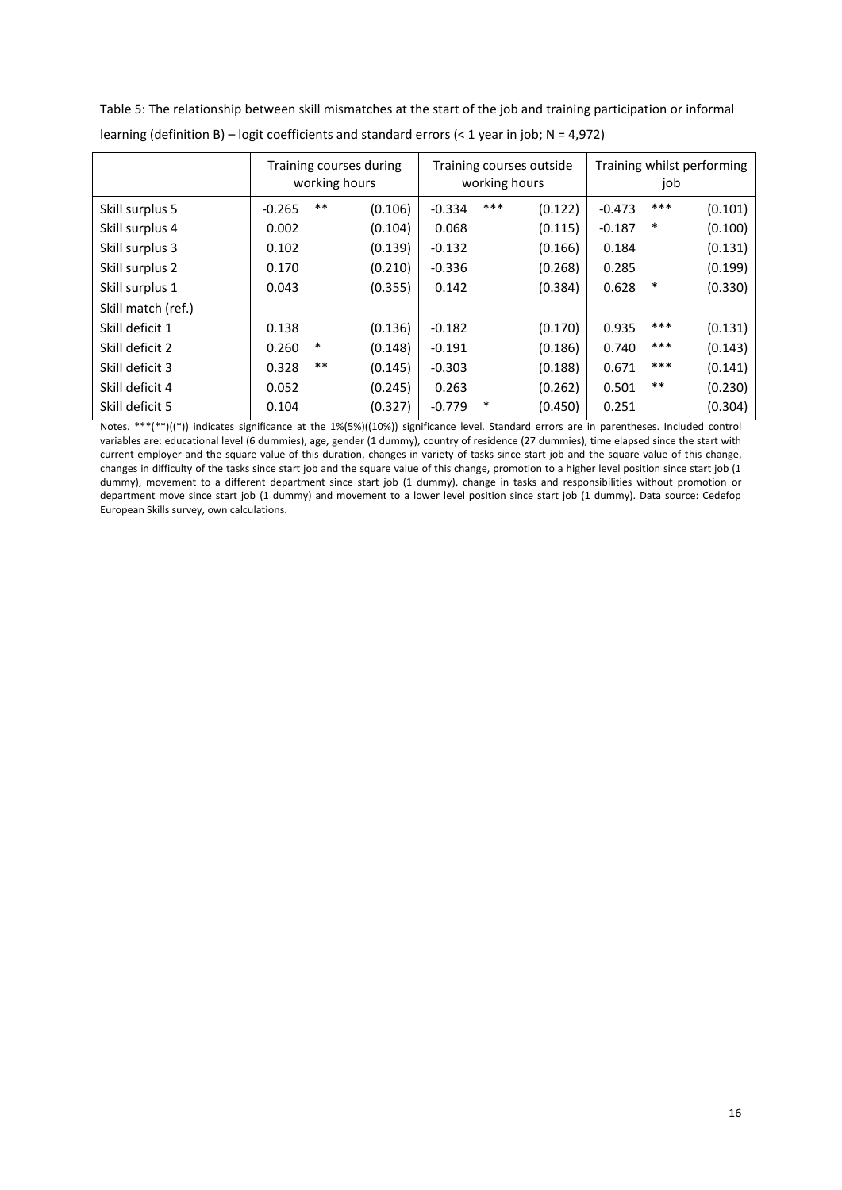|                    | Training courses during<br>working hours |        |         |          | Training courses outside<br>working hours |         | Training whilst performing<br>job |        |         |
|--------------------|------------------------------------------|--------|---------|----------|-------------------------------------------|---------|-----------------------------------|--------|---------|
| Skill surplus 5    | $-0.265$                                 | $***$  | (0.106) | $-0.334$ | $***$                                     | (0.122) | $-0.473$                          | ***    | (0.101) |
| Skill surplus 4    | 0.002                                    |        | (0.104) | 0.068    |                                           | (0.115) | $-0.187$                          | $\ast$ | (0.100) |
| Skill surplus 3    | 0.102                                    |        | (0.139) | $-0.132$ |                                           | (0.166) | 0.184                             |        | (0.131) |
| Skill surplus 2    | 0.170                                    |        | (0.210) | $-0.336$ |                                           | (0.268) | 0.285                             |        | (0.199) |
| Skill surplus 1    | 0.043                                    |        | (0.355) | 0.142    |                                           | (0.384) | 0.628                             | $\ast$ | (0.330) |
| Skill match (ref.) |                                          |        |         |          |                                           |         |                                   |        |         |
| Skill deficit 1    | 0.138                                    |        | (0.136) | $-0.182$ |                                           | (0.170) | 0.935                             | ***    | (0.131) |
| Skill deficit 2    | 0.260                                    | $\ast$ | (0.148) | $-0.191$ |                                           | (0.186) | 0.740                             | ***    | (0.143) |
| Skill deficit 3    | 0.328                                    | $***$  | (0.145) | $-0.303$ |                                           | (0.188) | 0.671                             | ***    | (0.141) |
| Skill deficit 4    | 0.052                                    |        | (0.245) | 0.263    |                                           | (0.262) | 0.501                             | $***$  | (0.230) |
| Skill deficit 5    | 0.104                                    |        | (0.327) | $-0.779$ | *                                         | (0.450) | 0.251                             |        | (0.304) |

Table 5: The relationship between skill mismatches at the start of the job and training participation or informal learning (definition B) – logit coefficients and standard errors (< 1 year in job; N = 4,972)

Notes. \*\*\*(\*\*)((\*)) indicates significance at the 1%(5%)((10%)) significance level. Standard errors are in parentheses. Included control variables are: educational level (6 dummies), age, gender (1 dummy), country of residence (27 dummies), time elapsed since the start with current employer and the square value of this duration, changes in variety of tasks since start job and the square value of this change, changes in difficulty of the tasks since start job and the square value of this change, promotion to a higher level position since start job (1 dummy), movement to a different department since start job (1 dummy), change in tasks and responsibilities without promotion or department move since start job (1 dummy) and movement to a lower level position since start job (1 dummy). Data source: Cedefop European Skills survey, own calculations.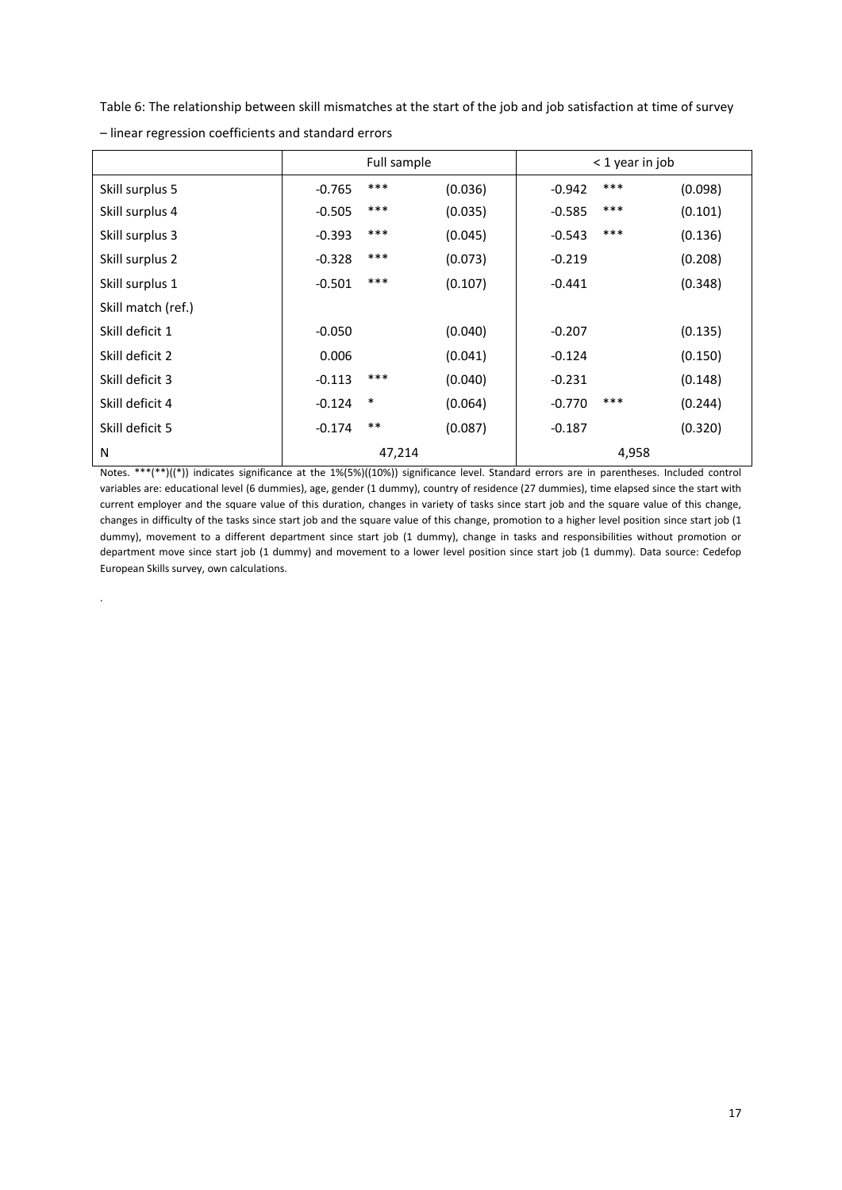Table 6: The relationship between skill mismatches at the start of the job and job satisfaction at time of survey

|                    |          | Full sample |         |          | < 1 year in job |         |
|--------------------|----------|-------------|---------|----------|-----------------|---------|
| Skill surplus 5    | $-0.765$ | ***         | (0.036) | $-0.942$ | ***             | (0.098) |
| Skill surplus 4    | $-0.505$ | ***         | (0.035) | $-0.585$ | $***$           | (0.101) |
| Skill surplus 3    | $-0.393$ | ***         | (0.045) | $-0.543$ | $***$           | (0.136) |
| Skill surplus 2    | $-0.328$ | ***         | (0.073) | $-0.219$ |                 | (0.208) |
| Skill surplus 1    | $-0.501$ | ***         | (0.107) | $-0.441$ |                 | (0.348) |
| Skill match (ref.) |          |             |         |          |                 |         |
| Skill deficit 1    | $-0.050$ |             | (0.040) | $-0.207$ |                 | (0.135) |
| Skill deficit 2    | 0.006    |             | (0.041) | $-0.124$ |                 | (0.150) |
| Skill deficit 3    | $-0.113$ | ***         | (0.040) | $-0.231$ |                 | (0.148) |
| Skill deficit 4    | $-0.124$ | $\ast$      | (0.064) | $-0.770$ | $***$           | (0.244) |
| Skill deficit 5    | $-0.174$ | $***$       | (0.087) | $-0.187$ |                 | (0.320) |
| N                  |          | 47,214      |         |          | 4,958           |         |

– linear regression coefficients and standard errors

.

Notes. \*\*\*(\*\*)((\*)) indicates significance at the 1%(5%)((10%)) significance level. Standard errors are in parentheses. Included control variables are: educational level (6 dummies), age, gender (1 dummy), country of residence (27 dummies), time elapsed since the start with current employer and the square value of this duration, changes in variety of tasks since start job and the square value of this change, changes in difficulty of the tasks since start job and the square value of this change, promotion to a higher level position since start job (1 dummy), movement to a different department since start job (1 dummy), change in tasks and responsibilities without promotion or department move since start job (1 dummy) and movement to a lower level position since start job (1 dummy). Data source: Cedefop European Skills survey, own calculations.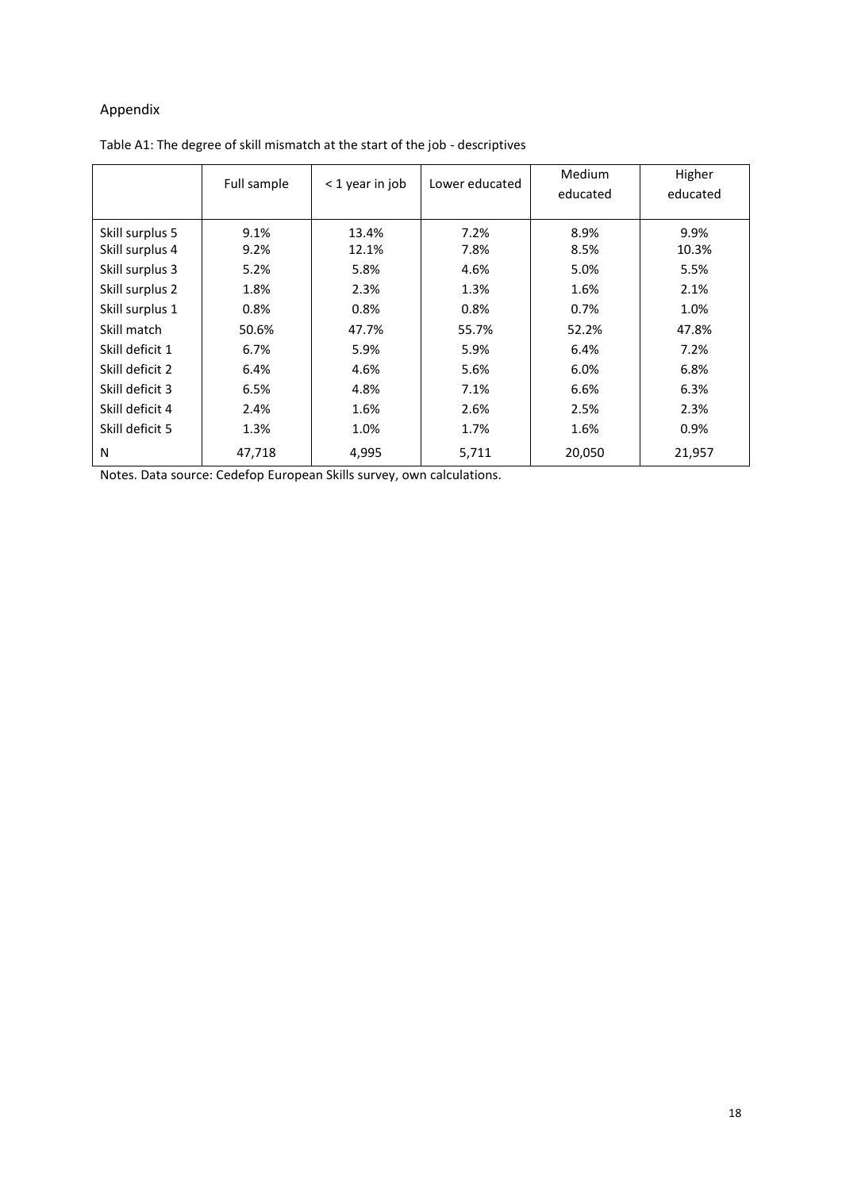# Appendix

|                 | Full sample | < 1 year in job | Lower educated | Medium<br>educated | Higher<br>educated |
|-----------------|-------------|-----------------|----------------|--------------------|--------------------|
| Skill surplus 5 | 9.1%        | 13.4%           | 7.2%           | 8.9%               | 9.9%               |
| Skill surplus 4 | 9.2%        | 12.1%           | 7.8%           | 8.5%               | 10.3%              |
| Skill surplus 3 | 5.2%        | 5.8%            | 4.6%           | 5.0%               | 5.5%               |
| Skill surplus 2 | 1.8%        | 2.3%            | 1.3%           | 1.6%               | 2.1%               |
| Skill surplus 1 | 0.8%        | 0.8%            | 0.8%           | 0.7%               | 1.0%               |
| Skill match     | 50.6%       | 47.7%           | 55.7%          | 52.2%              | 47.8%              |
| Skill deficit 1 | 6.7%        | 5.9%            | 5.9%           | 6.4%               | 7.2%               |
| Skill deficit 2 | 6.4%        | 4.6%            | 5.6%           | 6.0%               | 6.8%               |
| Skill deficit 3 | 6.5%        | 4.8%            | 7.1%           | 6.6%               | 6.3%               |
| Skill deficit 4 | 2.4%        | 1.6%            | 2.6%           | 2.5%               | 2.3%               |
| Skill deficit 5 | 1.3%        | 1.0%            | 1.7%           | 1.6%               | 0.9%               |
| N               | 47,718      | 4,995           | 5,711          | 20,050             | 21,957             |

Table A1: The degree of skill mismatch at the start of the job - descriptives

Notes. Data source: Cedefop European Skills survey, own calculations.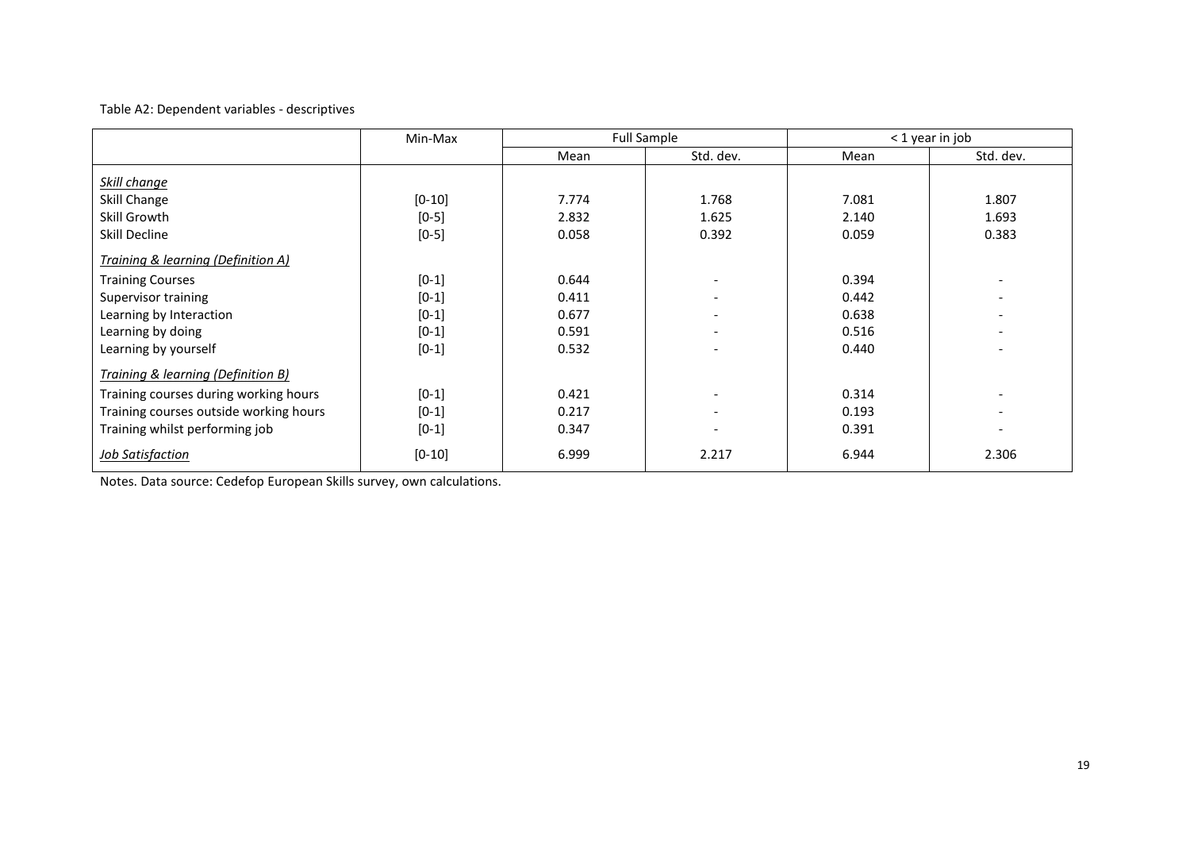# Table A2: Dependent variables - descriptives

|                                        | Min-Max  |       | <b>Full Sample</b>       | < 1 year in job |                          |  |
|----------------------------------------|----------|-------|--------------------------|-----------------|--------------------------|--|
|                                        |          | Mean  | Std. dev.                | Mean            | Std. dev.                |  |
| Skill change                           |          |       |                          |                 |                          |  |
| Skill Change                           | $[0-10]$ | 7.774 | 1.768                    | 7.081           | 1.807                    |  |
| Skill Growth                           | $[0-5]$  | 2.832 | 1.625                    | 2.140           | 1.693                    |  |
| Skill Decline                          | $[0-5]$  | 0.058 | 0.392                    | 0.059           | 0.383                    |  |
| Training & learning (Definition A)     |          |       |                          |                 |                          |  |
| <b>Training Courses</b>                | $[0-1]$  | 0.644 | $\overline{\phantom{a}}$ | 0.394           |                          |  |
| Supervisor training                    | $[0-1]$  | 0.411 | $\overline{\phantom{a}}$ | 0.442           |                          |  |
| Learning by Interaction                | $[0-1]$  | 0.677 | $\overline{\phantom{a}}$ | 0.638           |                          |  |
| Learning by doing                      | $[0-1]$  | 0.591 | $\overline{\phantom{0}}$ | 0.516           |                          |  |
| Learning by yourself                   | $[0-1]$  | 0.532 |                          | 0.440           |                          |  |
| Training & learning (Definition B)     |          |       |                          |                 |                          |  |
| Training courses during working hours  | $[0-1]$  | 0.421 | $\overline{\phantom{a}}$ | 0.314           | $\overline{\phantom{a}}$ |  |
| Training courses outside working hours | $[0-1]$  | 0.217 | $\overline{\phantom{0}}$ | 0.193           | $\overline{\phantom{a}}$ |  |
| Training whilst performing job         | $[0-1]$  | 0.347 |                          | 0.391           |                          |  |
| <b>Job Satisfaction</b>                | $[0-10]$ | 6.999 | 2.217                    | 6.944           | 2.306                    |  |

Notes. Data source: Cedefop European Skills survey, own calculations.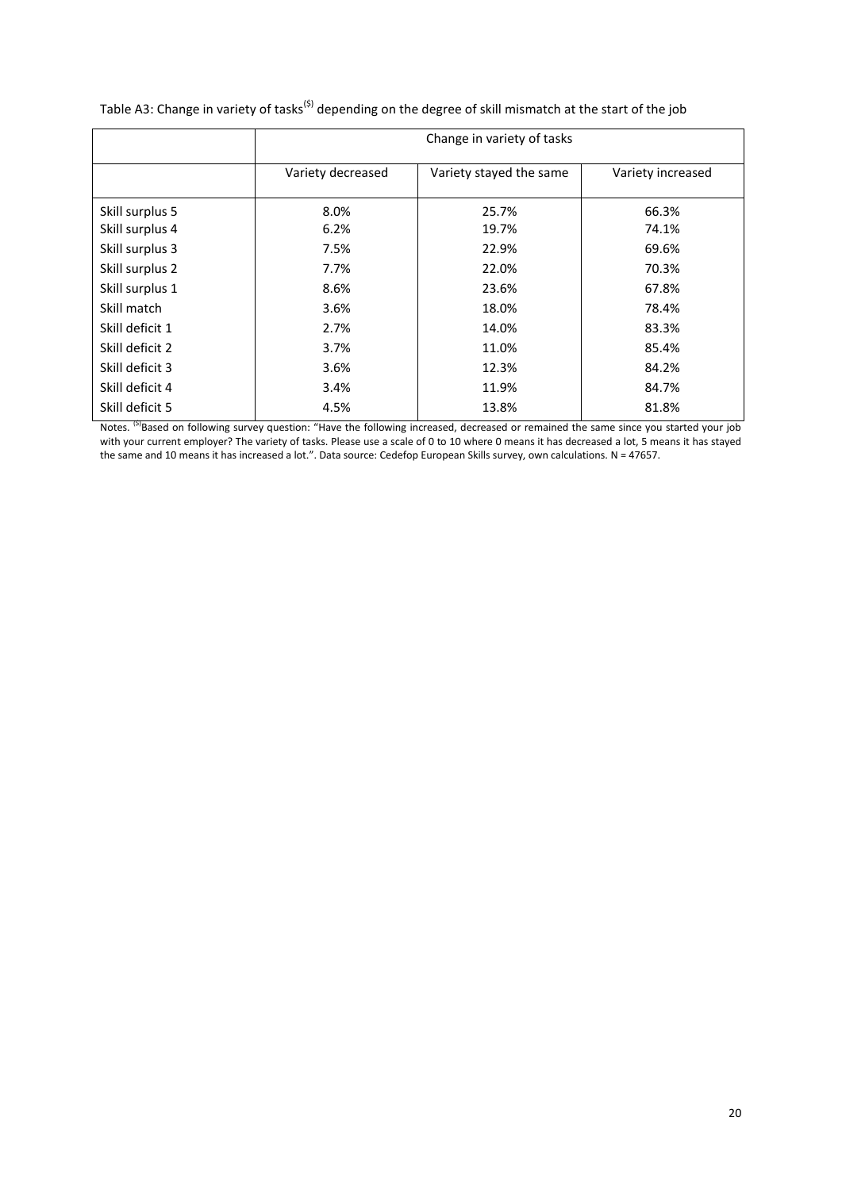|                 | Change in variety of tasks |                         |                   |  |  |  |  |  |  |
|-----------------|----------------------------|-------------------------|-------------------|--|--|--|--|--|--|
|                 | Variety decreased          | Variety stayed the same | Variety increased |  |  |  |  |  |  |
| Skill surplus 5 | 8.0%                       | 25.7%                   | 66.3%             |  |  |  |  |  |  |
| Skill surplus 4 | 6.2%                       | 19.7%                   | 74.1%             |  |  |  |  |  |  |
| Skill surplus 3 | 7.5%                       | 22.9%                   | 69.6%             |  |  |  |  |  |  |
| Skill surplus 2 | 7.7%                       | 22.0%                   | 70.3%             |  |  |  |  |  |  |
| Skill surplus 1 | 8.6%                       | 23.6%                   | 67.8%             |  |  |  |  |  |  |
| Skill match     | 3.6%                       | 18.0%                   | 78.4%             |  |  |  |  |  |  |
| Skill deficit 1 | 2.7%                       | 14.0%                   | 83.3%             |  |  |  |  |  |  |
| Skill deficit 2 | 3.7%                       | 11.0%                   | 85.4%             |  |  |  |  |  |  |
| Skill deficit 3 | 3.6%                       | 12.3%                   | 84.2%             |  |  |  |  |  |  |
| Skill deficit 4 | 3.4%                       | 11.9%                   | 84.7%             |  |  |  |  |  |  |
| Skill deficit 5 | 4.5%                       | 13.8%                   | 81.8%             |  |  |  |  |  |  |

Table A3: Change in variety of tasks<sup>(\$)</sup> depending on the degree of skill mismatch at the start of the job

Notes. <sup>(5)</sup>Based on following survey question: "Have the following increased, decreased or remained the same since you started your job with your current employer? The variety of tasks. Please use a scale of 0 to 10 where 0 means it has decreased a lot, 5 means it has stayed the same and 10 means it has increased a lot.". Data source: Cedefop European Skills survey, own calculations. N = 47657.